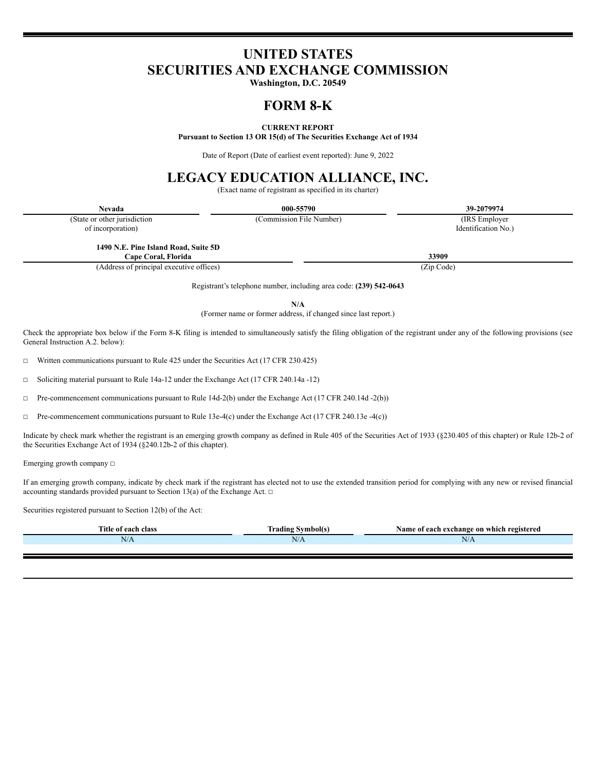# **UNITED STATES SECURITIES AND EXCHANGE COMMISSION**

**Washington, D.C. 20549**

# **FORM 8-K**

# **CURRENT REPORT**

**Pursuant to Section 13 OR 15(d) of The Securities Exchange Act of 1934**

Date of Report (Date of earliest event reported): June 9, 2022

# **LEGACY EDUCATION ALLIANCE, INC.**

(Exact name of registrant as specified in its charter)

| <b>Nevada</b>                            | 000-55790                | 39-2079974          |  |
|------------------------------------------|--------------------------|---------------------|--|
| (State or other jurisdiction)            | (Commission File Number) | (IRS Employer)      |  |
| of incorporation)                        |                          | Identification No.) |  |
| 1490 N.E. Pine Island Road, Suite 5D     |                          |                     |  |
| Cape Coral, Florida                      | 33909                    |                     |  |
| (Address of principal executive offices) |                          | (Zip Code)          |  |

Registrant's telephone number, including area code: **(239) 542-0643**

**N/A**

(Former name or former address, if changed since last report.)

Check the appropriate box below if the Form 8-K filing is intended to simultaneously satisfy the filing obligation of the registrant under any of the following provisions (see General Instruction A.2. below):

 $\Box$  Written communications pursuant to Rule 425 under the Securities Act (17 CFR 230.425)

☐ Soliciting material pursuant to Rule 14a-12 under the Exchange Act (17 CFR 240.14a -12)

☐ Pre-commencement communications pursuant to Rule 14d-2(b) under the Exchange Act (17 CFR 240.14d -2(b))

☐ Pre-commencement communications pursuant to Rule 13e-4(c) under the Exchange Act (17 CFR 240.13e -4(c))

Indicate by check mark whether the registrant is an emerging growth company as defined in Rule 405 of the Securities Act of 1933 (§230.405 of this chapter) or Rule 12b-2 of the Securities Exchange Act of 1934 (§240.12b-2 of this chapter).

Emerging growth company ☐

If an emerging growth company, indicate by check mark if the registrant has elected not to use the extended transition period for complying with any new or revised financial accounting standards provided pursuant to Section 13(a) of the Exchange Act.  $□$ 

Securities registered pursuant to Section 12(b) of the Act:

| Title of each class | <b>CONTRACTOR</b><br>! Symbol(s)<br>Frading | Name of each exchange on which registered |
|---------------------|---------------------------------------------|-------------------------------------------|
| IV/A                | N/A                                         | N/A                                       |
|                     |                                             |                                           |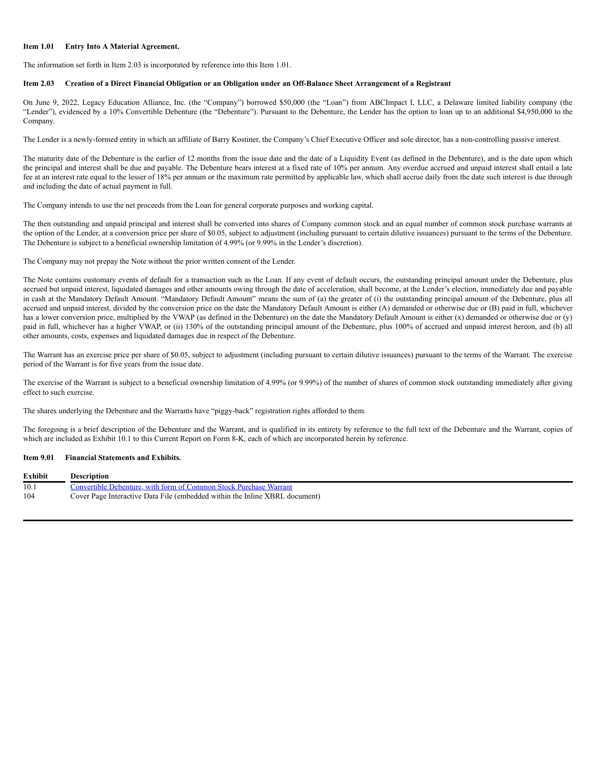### **Item 1.01 Entry Into A Material Agreement.**

The information set forth in Item 2.03 is incorporated by reference into this Item 1.01.

## Item 2.03 Creation of a Direct Financial Obligation or an Obligation under an Off-Balance Sheet Arrangement of a Registrant

On June 9, 2022, Legacy Education Alliance, Inc. (the "Company") borrowed \$50,000 (the "Loan") from ABCImpact I, LLC, a Delaware limited liability company (the "Lender"), evidenced by a 10% Convertible Debenture (the "Debenture"). Pursuant to the Debenture, the Lender has the option to loan up to an additional \$4,950,000 to the Company.

The Lender is a newly-formed entity in which an affiliate of Barry Kostiner, the Company's Chief Executive Officer and sole director, has a non-controlling passive interest.

The maturity date of the Debenture is the earlier of 12 months from the issue date and the date of a Liquidity Event (as defined in the Debenture), and is the date upon which the principal and interest shall be due and payable. The Debenture bears interest at a fixed rate of 10% per annum. Any overdue accrued and unpaid interest shall entail a late fee at an interest rate equal to the lesser of 18% per annum or the maximum rate permitted by applicable law, which shall accrue daily from the date such interest is due through and including the date of actual payment in full.

The Company intends to use the net proceeds from the Loan for general corporate purposes and working capital.

The then outstanding and unpaid principal and interest shall be converted into shares of Company common stock and an equal number of common stock purchase warrants at the option of the Lender, at a conversion price per share of \$0.05, subject to adjustment (including pursuant to certain dilutive issuances) pursuant to the terms of the Debenture. The Debenture is subject to a beneficial ownership limitation of 4.99% (or 9.99% in the Lender's discretion).

The Company may not prepay the Note without the prior written consent of the Lender.

The Note contains customary events of default for a transaction such as the Loan. If any event of default occurs, the outstanding principal amount under the Debenture, plus accrued but unpaid interest, liquidated damages and other amounts owing through the date of acceleration, shall become, at the Lender's election, immediately due and payable in cash at the Mandatory Default Amount. "Mandatory Default Amount" means the sum of (a) the greater of (i) the outstanding principal amount of the Debenture, plus all accrued and unpaid interest, divided by the conversion price on the date the Mandatory Default Amount is either (A) demanded or otherwise due or (B) paid in full, whichever has a lower conversion price, multiplied by the VWAP (as defined in the Debenture) on the date the Mandatory Default Amount is either (x) demanded or otherwise due or (y) paid in full, whichever has a higher VWAP, or (ii) 130% of the outstanding principal amount of the Debenture, plus 100% of accrued and unpaid interest hereon, and (b) all other amounts, costs, expenses and liquidated damages due in respect of the Debenture.

The Warrant has an exercise price per share of \$0.05, subject to adjustment (including pursuant to certain dilutive issuances) pursuant to the terms of the Warrant. The exercise period of the Warrant is for five years from the issue date.

The exercise of the Warrant is subject to a beneficial ownership limitation of 4.99% (or 9.99%) of the number of shares of common stock outstanding immediately after giving effect to such exercise.

The shares underlying the Debenture and the Warrants have "piggy-back" registration rights afforded to them.

The foregoing is a brief description of the Debenture and the Warrant, and is qualified in its entirety by reference to the full text of the Debenture and the Warrant, copies of which are included as Exhibit 10.1 to this Current Report on Form 8-K, each of which are incorporated herein by reference.

### **Item 9.01 Financial Statements and Exhibits.**

| <b>Exhibit</b> | Description                                                                 |
|----------------|-----------------------------------------------------------------------------|
| 10.1           | Convertible Debenture, with form of Common Stock Purchase Warrant           |
| 104            | Cover Page Interactive Data File (embedded within the Inline XBRL document) |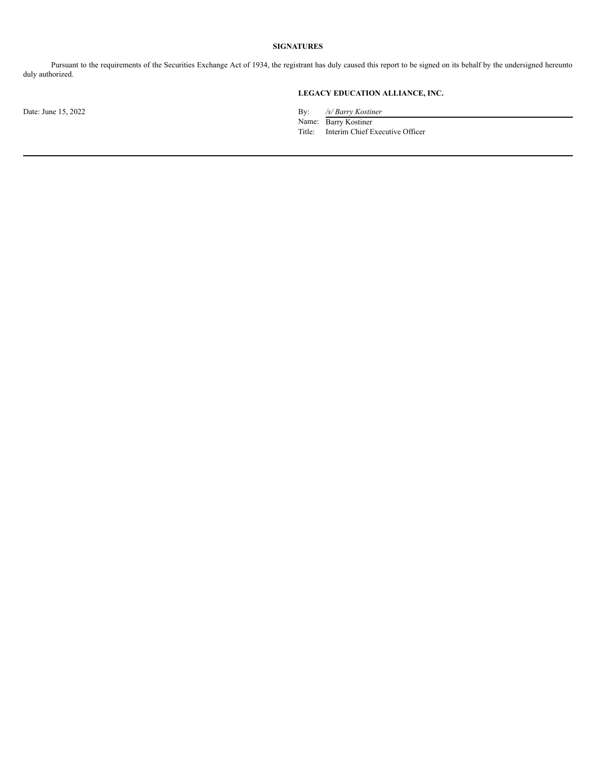# **SIGNATURES**

Pursuant to the requirements of the Securities Exchange Act of 1934, the registrant has duly caused this report to be signed on its behalf by the undersigned hereunto duly authorized.

# **LEGACY EDUCATION ALLIANCE, INC.**

Date: June 15, 2022 By: */s/ Barry Kostiner*

Name: Barry Kostiner Title: Interim Chief Executive Officer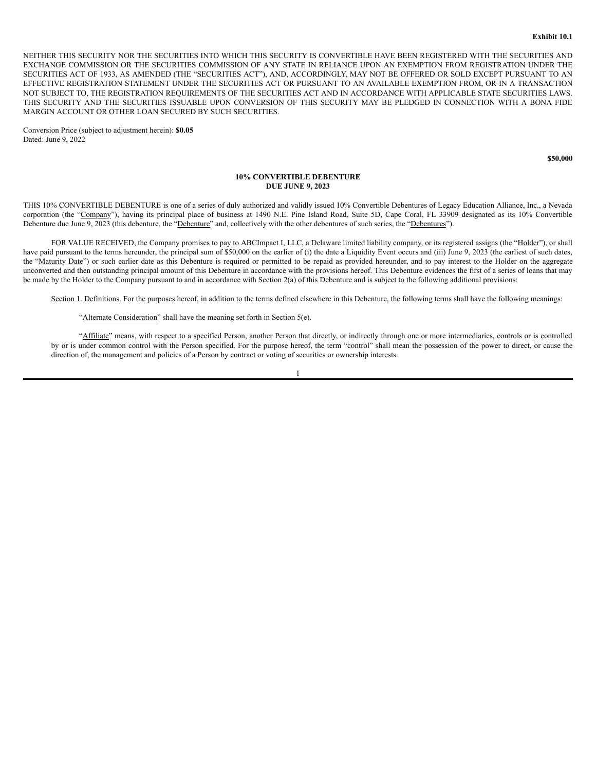NEITHER THIS SECURITY NOR THE SECURITIES INTO WHICH THIS SECURITY IS CONVERTIBLE HAVE BEEN REGISTERED WITH THE SECURITIES AND EXCHANGE COMMISSION OR THE SECURITIES COMMISSION OF ANY STATE IN RELIANCE UPON AN EXEMPTION FROM REGISTRATION UNDER THE SECURITIES ACT OF 1933, AS AMENDED (THE "SECURITIES ACT"), AND, ACCORDINGLY, MAY NOT BE OFFERED OR SOLD EXCEPT PURSUANT TO AN EFFECTIVE REGISTRATION STATEMENT UNDER THE SECURITIES ACT OR PURSUANT TO AN AVAILABLE EXEMPTION FROM, OR IN A TRANSACTION NOT SUBJECT TO, THE REGISTRATION REQUIREMENTS OF THE SECURITIES ACT AND IN ACCORDANCE WITH APPLICABLE STATE SECURITIES LAWS. THIS SECURITY AND THE SECURITIES ISSUABLE UPON CONVERSION OF THIS SECURITY MAY BE PLEDGED IN CONNECTION WITH A BONA FIDE MARGIN ACCOUNT OR OTHER LOAN SECURED BY SUCH SECURITIES.

Conversion Price (subject to adjustment herein): **\$0.05** Dated: June 9, 2022

**\$50,000**

### **10% CONVERTIBLE DEBENTURE DUE JUNE 9, 2023**

THIS 10% CONVERTIBLE DEBENTURE is one of a series of duly authorized and validly issued 10% Convertible Debentures of Legacy Education Alliance, Inc., a Nevada corporation (the "Company"), having its principal place of business at 1490 N.E. Pine Island Road, Suite 5D, Cape Coral, FL 33909 designated as its 10% Convertible Debenture due June 9, 2023 (this debenture, the "Debenture" and, collectively with the other debentures of such series, the "Debentures").

FOR VALUE RECEIVED, the Company promises to pay to ABCImpact I, LLC, a Delaware limited liability company, or its registered assigns (the "Holder"), or shall have paid pursuant to the terms hereunder, the principal sum of \$50,000 on the earlier of (i) the date a Liquidity Event occurs and (iii) June 9, 2023 (the earliest of such dates, the "Maturity Date") or such earlier date as this Debenture is required or permitted to be repaid as provided hereunder, and to pay interest to the Holder on the aggregate unconverted and then outstanding principal amount of this Debenture in accordance with the provisions hereof. This Debenture evidences the first of a series of loans that may be made by the Holder to the Company pursuant to and in accordance with Section 2(a) of this Debenture and is subject to the following additional provisions:

Section 1. Definitions. For the purposes hereof, in addition to the terms defined elsewhere in this Debenture, the following terms shall have the following meanings:

"Alternate Consideration" shall have the meaning set forth in Section 5(e).

"Affiliate" means, with respect to a specified Person, another Person that directly, or indirectly through one or more intermediaries, controls or is controlled by or is under common control with the Person specified. For the purpose hereof, the term "control" shall mean the possession of the power to direct, or cause the direction of, the management and policies of a Person by contract or voting of securities or ownership interests.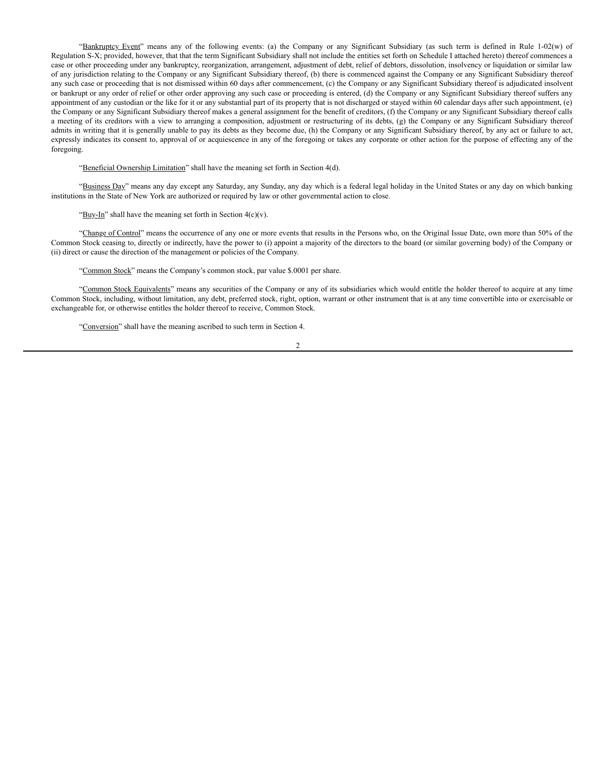"Bankruptcy Event" means any of the following events: (a) the Company or any Significant Subsidiary (as such term is defined in Rule 1-02(w) of Regulation S-X; provided, however, that that the term Significant Subsidiary shall not include the entities set forth on Schedule I attached hereto) thereof commences a case or other proceeding under any bankruptcy, reorganization, arrangement, adjustment of debt, relief of debtors, dissolution, insolvency or liquidation or similar law of any jurisdiction relating to the Company or any Significant Subsidiary thereof, (b) there is commenced against the Company or any Significant Subsidiary thereof any such case or proceeding that is not dismissed within 60 days after commencement, (c) the Company or any Significant Subsidiary thereof is adjudicated insolvent or bankrupt or any order of relief or other order approving any such case or proceeding is entered, (d) the Company or any Significant Subsidiary thereof suffers any appointment of any custodian or the like for it or any substantial part of its property that is not discharged or stayed within 60 calendar days after such appointment, (e) the Company or any Significant Subsidiary thereof makes a general assignment for the benefit of creditors, (f) the Company or any Significant Subsidiary thereof calls a meeting of its creditors with a view to arranging a composition, adjustment or restructuring of its debts, (g) the Company or any Significant Subsidiary thereof admits in writing that it is generally unable to pay its debts as they become due, (h) the Company or any Significant Subsidiary thereof, by any act or failure to act, expressly indicates its consent to, approval of or acquiescence in any of the foregoing or takes any corporate or other action for the purpose of effecting any of the foregoing.

"Beneficial Ownership Limitation" shall have the meaning set forth in Section 4(d).

"Business Day" means any day except any Saturday, any Sunday, any day which is a federal legal holiday in the United States or any day on which banking institutions in the State of New York are authorized or required by law or other governmental action to close.

" $Buy-In$ " shall have the meaning set forth in Section  $4(c)(v)$ .

"Change of Control" means the occurrence of any one or more events that results in the Persons who, on the Original Issue Date, own more than 50% of the Common Stock ceasing to, directly or indirectly, have the power to (i) appoint a majority of the directors to the board (or similar governing body) of the Company or (ii) direct or cause the direction of the management or policies of the Company.

"Common Stock" means the Company's common stock, par value \$.0001 per share.

"Common Stock Equivalents" means any securities of the Company or any of its subsidiaries which would entitle the holder thereof to acquire at any time Common Stock, including, without limitation, any debt, preferred stock, right, option, warrant or other instrument that is at any time convertible into or exercisable or exchangeable for, or otherwise entitles the holder thereof to receive, Common Stock.

"Conversion" shall have the meaning ascribed to such term in Section 4.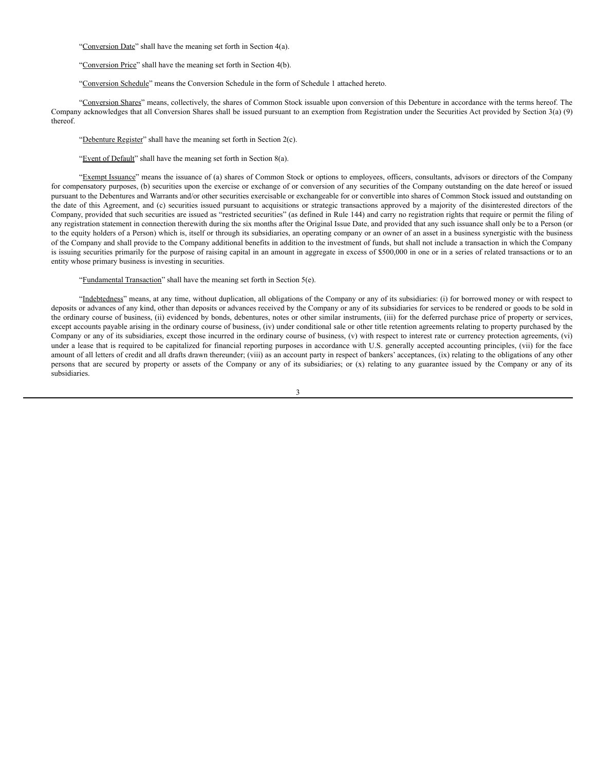"Conversion Date" shall have the meaning set forth in Section 4(a).

"Conversion Price" shall have the meaning set forth in Section 4(b).

"Conversion Schedule" means the Conversion Schedule in the form of Schedule 1 attached hereto.

"Conversion Shares" means, collectively, the shares of Common Stock issuable upon conversion of this Debenture in accordance with the terms hereof. The Company acknowledges that all Conversion Shares shall be issued pursuant to an exemption from Registration under the Securities Act provided by Section 3(a) (9) thereof.

"Debenture Register" shall have the meaning set forth in Section 2(c).

"Event of Default" shall have the meaning set forth in Section 8(a).

"Exempt Issuance" means the issuance of (a) shares of Common Stock or options to employees, officers, consultants, advisors or directors of the Company for compensatory purposes, (b) securities upon the exercise or exchange of or conversion of any securities of the Company outstanding on the date hereof or issued pursuant to the Debentures and Warrants and/or other securities exercisable or exchangeable for or convertible into shares of Common Stock issued and outstanding on the date of this Agreement, and (c) securities issued pursuant to acquisitions or strategic transactions approved by a majority of the disinterested directors of the Company, provided that such securities are issued as "restricted securities" (as defined in Rule 144) and carry no registration rights that require or permit the filing of any registration statement in connection therewith during the six months after the Original Issue Date, and provided that any such issuance shall only be to a Person (or to the equity holders of a Person) which is, itself or through its subsidiaries, an operating company or an owner of an asset in a business synergistic with the business of the Company and shall provide to the Company additional benefits in addition to the investment of funds, but shall not include a transaction in which the Company is issuing securities primarily for the purpose of raising capital in an amount in aggregate in excess of \$500,000 in one or in a series of related transactions or to an entity whose primary business is investing in securities.

"Fundamental Transaction" shall have the meaning set forth in Section 5(e).

"Indebtedness" means, at any time, without duplication, all obligations of the Company or any of its subsidiaries: (i) for borrowed money or with respect to deposits or advances of any kind, other than deposits or advances received by the Company or any of its subsidiaries for services to be rendered or goods to be sold in the ordinary course of business, (ii) evidenced by bonds, debentures, notes or other similar instruments, (iii) for the deferred purchase price of property or services, except accounts payable arising in the ordinary course of business, (iv) under conditional sale or other title retention agreements relating to property purchased by the Company or any of its subsidiaries, except those incurred in the ordinary course of business, (v) with respect to interest rate or currency protection agreements, (vi) under a lease that is required to be capitalized for financial reporting purposes in accordance with U.S. generally accepted accounting principles, (vii) for the face amount of all letters of credit and all drafts drawn thereunder; (viii) as an account party in respect of bankers' acceptances, (ix) relating to the obligations of any other persons that are secured by property or assets of the Company or any of its subsidiaries; or (x) relating to any guarantee issued by the Company or any of its subsidiaries.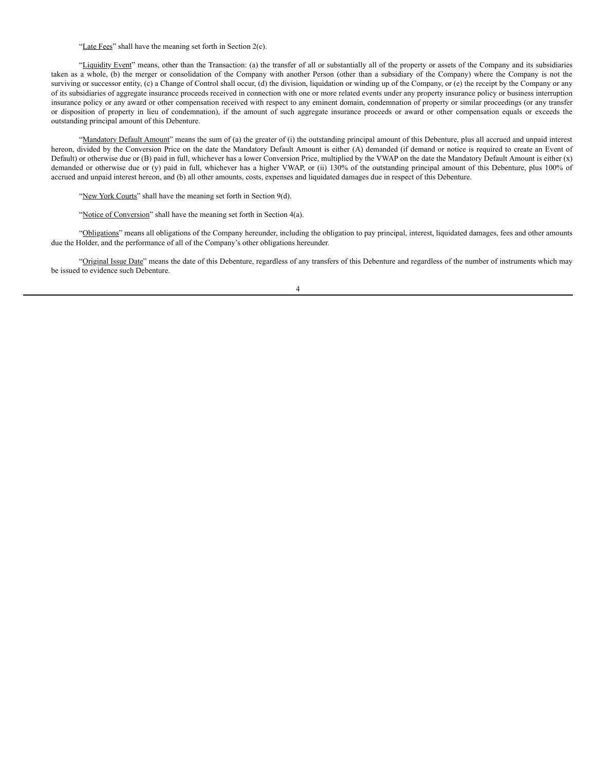"Late Fees" shall have the meaning set forth in Section 2(c).

"Liquidity Event" means, other than the Transaction: (a) the transfer of all or substantially all of the property or assets of the Company and its subsidiaries taken as a whole, (b) the merger or consolidation of the Company with another Person (other than a subsidiary of the Company) where the Company is not the surviving or successor entity, (c) a Change of Control shall occur, (d) the division, liquidation or winding up of the Company, or (e) the receipt by the Company or any of its subsidiaries of aggregate insurance proceeds received in connection with one or more related events under any property insurance policy or business interruption insurance policy or any award or other compensation received with respect to any eminent domain, condemnation of property or similar proceedings (or any transfer or disposition of property in lieu of condemnation), if the amount of such aggregate insurance proceeds or award or other compensation equals or exceeds the outstanding principal amount of this Debenture.

"Mandatory Default Amount" means the sum of (a) the greater of (i) the outstanding principal amount of this Debenture, plus all accrued and unpaid interest hereon, divided by the Conversion Price on the date the Mandatory Default Amount is either (A) demanded (if demand or notice is required to create an Event of Default) or otherwise due or  $(B)$  paid in full, whichever has a lower Conversion Price, multiplied by the VWAP on the date the Mandatory Default Amount is either  $(x)$ demanded or otherwise due or (y) paid in full, whichever has a higher VWAP, or (ii) 130% of the outstanding principal amount of this Debenture, plus 100% of accrued and unpaid interest hereon, and (b) all other amounts, costs, expenses and liquidated damages due in respect of this Debenture.

"New York Courts" shall have the meaning set forth in Section 9(d).

"Notice of Conversion" shall have the meaning set forth in Section 4(a).

"Obligations" means all obligations of the Company hereunder, including the obligation to pay principal, interest, liquidated damages, fees and other amounts due the Holder, and the performance of all of the Company's other obligations hereunder.

"Original Issue Date" means the date of this Debenture, regardless of any transfers of this Debenture and regardless of the number of instruments which may be issued to evidence such Debenture.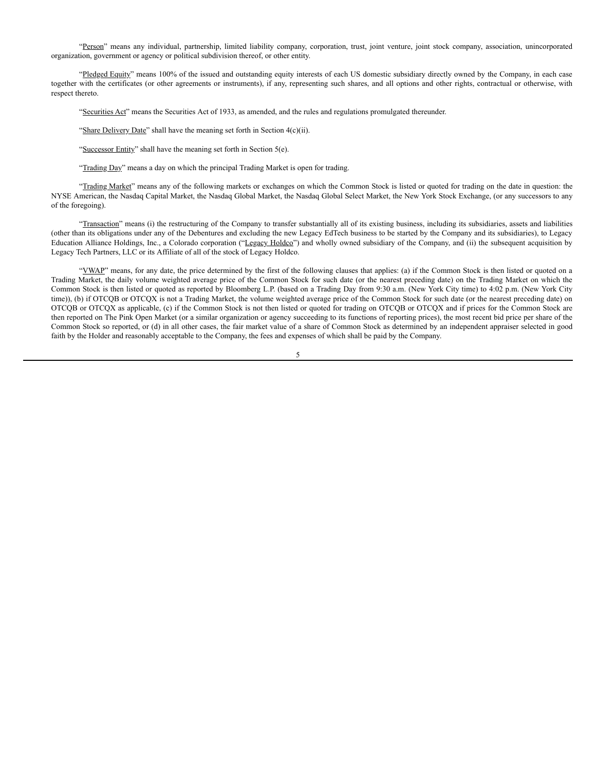"Person" means any individual, partnership, limited liability company, corporation, trust, joint venture, joint stock company, association, unincorporated organization, government or agency or political subdivision thereof, or other entity.

"Pledged Equity" means 100% of the issued and outstanding equity interests of each US domestic subsidiary directly owned by the Company, in each case together with the certificates (or other agreements or instruments), if any, representing such shares, and all options and other rights, contractual or otherwise, with respect thereto.

"Securities Act" means the Securities Act of 1933, as amended, and the rules and regulations promulgated thereunder.

"Share Delivery Date" shall have the meaning set forth in Section 4(c)(ii).

"Successor Entity" shall have the meaning set forth in Section 5(e).

"Trading Day" means a day on which the principal Trading Market is open for trading.

"Trading Market" means any of the following markets or exchanges on which the Common Stock is listed or quoted for trading on the date in question: the NYSE American, the Nasdaq Capital Market, the Nasdaq Global Market, the Nasdaq Global Select Market, the New York Stock Exchange, (or any successors to any of the foregoing).

"Transaction" means (i) the restructuring of the Company to transfer substantially all of its existing business, including its subsidiaries, assets and liabilities (other than its obligations under any of the Debentures and excluding the new Legacy EdTech business to be started by the Company and its subsidiaries), to Legacy Education Alliance Holdings, Inc., a Colorado corporation ("Legacy Holdco") and wholly owned subsidiary of the Company, and (ii) the subsequent acquisition by Legacy Tech Partners, LLC or its Affiliate of all of the stock of Legacy Holdco.

"VWAP" means, for any date, the price determined by the first of the following clauses that applies: (a) if the Common Stock is then listed or quoted on a Trading Market, the daily volume weighted average price of the Common Stock for such date (or the nearest preceding date) on the Trading Market on which the Common Stock is then listed or quoted as reported by Bloomberg L.P. (based on a Trading Day from 9:30 a.m. (New York City time) to 4:02 p.m. (New York City time)), (b) if OTCQB or OTCQX is not a Trading Market, the volume weighted average price of the Common Stock for such date (or the nearest preceding date) on OTCQB or OTCQX as applicable, (c) if the Common Stock is not then listed or quoted for trading on OTCQB or OTCQX and if prices for the Common Stock are then reported on The Pink Open Market (or a similar organization or agency succeeding to its functions of reporting prices), the most recent bid price per share of the Common Stock so reported, or (d) in all other cases, the fair market value of a share of Common Stock as determined by an independent appraiser selected in good faith by the Holder and reasonably acceptable to the Company, the fees and expenses of which shall be paid by the Company.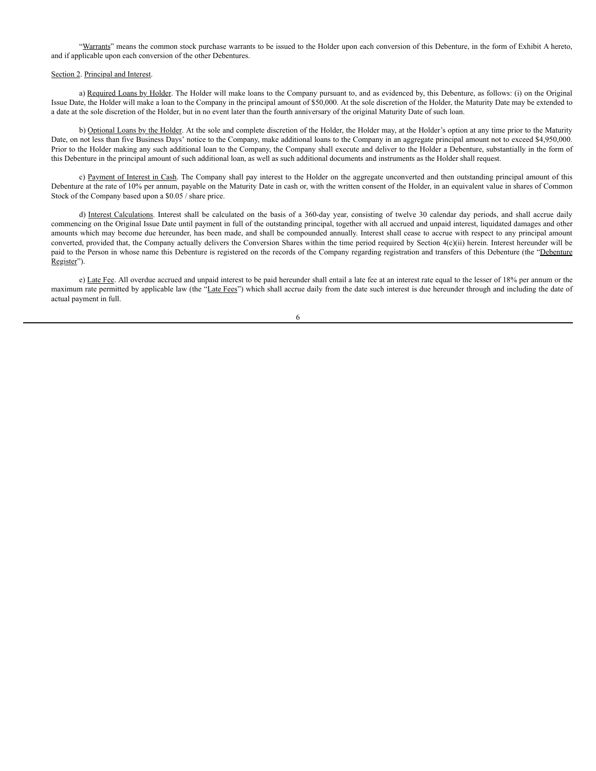"Warrants" means the common stock purchase warrants to be issued to the Holder upon each conversion of this Debenture, in the form of Exhibit A hereto, and if applicable upon each conversion of the other Debentures.

### Section 2. Principal and Interest.

a) Required Loans by Holder. The Holder will make loans to the Company pursuant to, and as evidenced by, this Debenture, as follows: (i) on the Original Issue Date, the Holder will make a loan to the Company in the principal amount of \$50,000. At the sole discretion of the Holder, the Maturity Date may be extended to a date at the sole discretion of the Holder, but in no event later than the fourth anniversary of the original Maturity Date of such loan.

b) Optional Loans by the Holder. At the sole and complete discretion of the Holder, the Holder may, at the Holder's option at any time prior to the Maturity Date, on not less than five Business Days' notice to the Company, make additional loans to the Company in an aggregate principal amount not to exceed \$4,950,000. Prior to the Holder making any such additional loan to the Company, the Company shall execute and deliver to the Holder a Debenture, substantially in the form of this Debenture in the principal amount of such additional loan, as well as such additional documents and instruments as the Holder shall request.

c) Payment of Interest in Cash. The Company shall pay interest to the Holder on the aggregate unconverted and then outstanding principal amount of this Debenture at the rate of 10% per annum, payable on the Maturity Date in cash or, with the written consent of the Holder, in an equivalent value in shares of Common Stock of the Company based upon a \$0.05 / share price.

d) Interest Calculations. Interest shall be calculated on the basis of a 360-day year, consisting of twelve 30 calendar day periods, and shall accrue daily commencing on the Original Issue Date until payment in full of the outstanding principal, together with all accrued and unpaid interest, liquidated damages and other amounts which may become due hereunder, has been made, and shall be compounded annually. Interest shall cease to accrue with respect to any principal amount converted, provided that, the Company actually delivers the Conversion Shares within the time period required by Section 4(c)(ii) herein. Interest hereunder will be paid to the Person in whose name this Debenture is registered on the records of the Company regarding registration and transfers of this Debenture (the "Debenture Register").

e) Late Fee. All overdue accrued and unpaid interest to be paid hereunder shall entail a late fee at an interest rate equal to the lesser of 18% per annum or the maximum rate permitted by applicable law (the "Late Fees") which shall accrue daily from the date such interest is due hereunder through and including the date of actual payment in full.

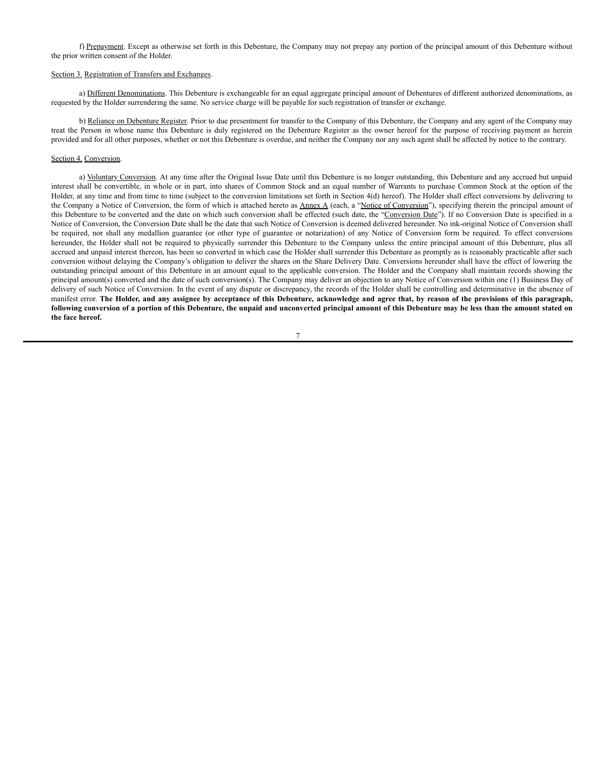f) Prepayment. Except as otherwise set forth in this Debenture, the Company may not prepay any portion of the principal amount of this Debenture without the prior written consent of the Holder.

### Section 3. Registration of Transfers and Exchanges.

a) Different Denominations. This Debenture is exchangeable for an equal aggregate principal amount of Debentures of different authorized denominations, as requested by the Holder surrendering the same. No service charge will be payable for such registration of transfer or exchange.

b) Reliance on Debenture Register. Prior to due presentment for transfer to the Company of this Debenture, the Company and any agent of the Company may treat the Person in whose name this Debenture is duly registered on the Debenture Register as the owner hereof for the purpose of receiving payment as herein provided and for all other purposes, whether or not this Debenture is overdue, and neither the Company nor any such agent shall be affected by notice to the contrary.

### Section 4. Conversion.

a) Voluntary Conversion. At any time after the Original Issue Date until this Debenture is no longer outstanding, this Debenture and any accrued but unpaid interest shall be convertible, in whole or in part, into shares of Common Stock and an equal number of Warrants to purchase Common Stock at the option of the Holder, at any time and from time to time (subject to the conversion limitations set forth in Section 4(d) hereof). The Holder shall effect conversions by delivering to the Company a Notice of Conversion, the form of which is attached hereto as Annex A (each, a "Notice of Conversion"), specifying therein the principal amount of this Debenture to be converted and the date on which such conversion shall be effected (such date, the "Conversion Date"). If no Conversion Date is specified in a Notice of Conversion, the Conversion Date shall be the date that such Notice of Conversion is deemed delivered hereunder. No ink-original Notice of Conversion shall be required, nor shall any medallion guarantee (or other type of guarantee or notarization) of any Notice of Conversion form be required. To effect conversions hereunder, the Holder shall not be required to physically surrender this Debenture to the Company unless the entire principal amount of this Debenture, plus all accrued and unpaid interest thereon, has been so converted in which case the Holder shall surrender this Debenture as promptly as is reasonably practicable after such conversion without delaying the Company's obligation to deliver the shares on the Share Delivery Date. Conversions hereunder shall have the effect of lowering the outstanding principal amount of this Debenture in an amount equal to the applicable conversion. The Holder and the Company shall maintain records showing the principal amount(s) converted and the date of such conversion(s). The Company may deliver an objection to any Notice of Conversion within one (1) Business Day of delivery of such Notice of Conversion. In the event of any dispute or discrepancy, the records of the Holder shall be controlling and determinative in the absence of manifest error. The Holder, and any assignee by acceptance of this Debenture, acknowledge and agree that, by reason of the provisions of this paragraph, following conversion of a portion of this Debenture, the unpaid and unconverted principal amount of this Debenture may be less than the amount stated on **the face hereof.**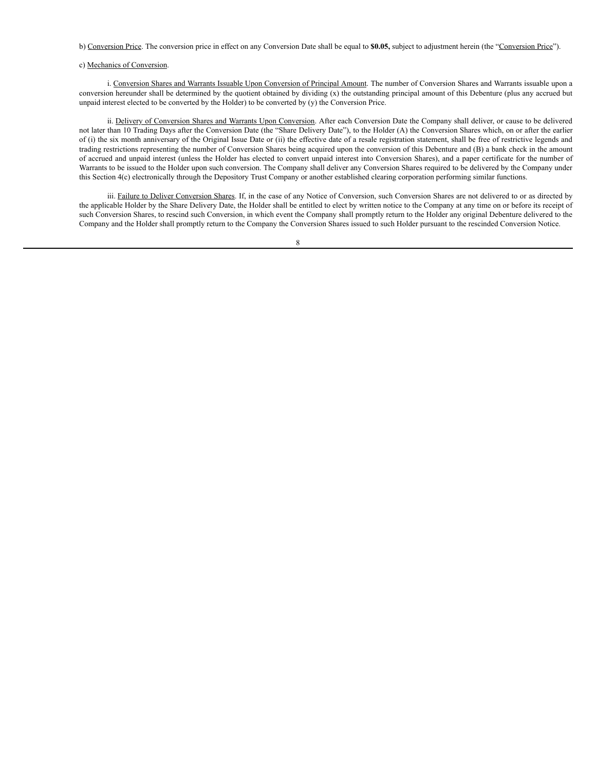### b) Conversion Price. The conversion price in effect on any Conversion Date shall be equal to **\$0.05,** subject to adjustment herein (the "Conversion Price").

### c) Mechanics of Conversion.

i. Conversion Shares and Warrants Issuable Upon Conversion of Principal Amount. The number of Conversion Shares and Warrants issuable upon a conversion hereunder shall be determined by the quotient obtained by dividing (x) the outstanding principal amount of this Debenture (plus any accrued but unpaid interest elected to be converted by the Holder) to be converted by (y) the Conversion Price.

ii. Delivery of Conversion Shares and Warrants Upon Conversion. After each Conversion Date the Company shall deliver, or cause to be delivered not later than 10 Trading Days after the Conversion Date (the "Share Delivery Date"), to the Holder (A) the Conversion Shares which, on or after the earlier of (i) the six month anniversary of the Original Issue Date or (ii) the effective date of a resale registration statement, shall be free of restrictive legends and trading restrictions representing the number of Conversion Shares being acquired upon the conversion of this Debenture and (B) a bank check in the amount of accrued and unpaid interest (unless the Holder has elected to convert unpaid interest into Conversion Shares), and a paper certificate for the number of Warrants to be issued to the Holder upon such conversion. The Company shall deliver any Conversion Shares required to be delivered by the Company under this Section 4(c) electronically through the Depository Trust Company or another established clearing corporation performing similar functions.

iii. Failure to Deliver Conversion Shares. If, in the case of any Notice of Conversion, such Conversion Shares are not delivered to or as directed by the applicable Holder by the Share Delivery Date, the Holder shall be entitled to elect by written notice to the Company at any time on or before its receipt of such Conversion Shares, to rescind such Conversion, in which event the Company shall promptly return to the Holder any original Debenture delivered to the Company and the Holder shall promptly return to the Company the Conversion Shares issued to such Holder pursuant to the rescinded Conversion Notice.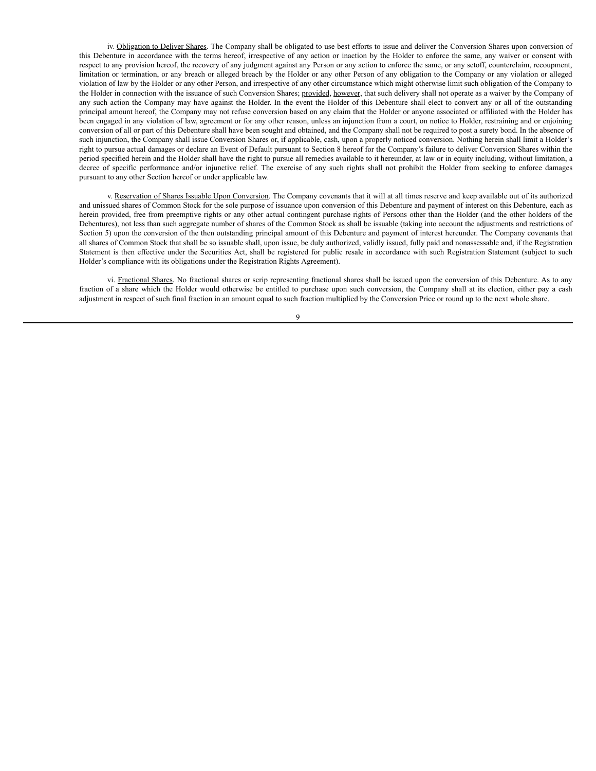iv. Obligation to Deliver Shares. The Company shall be obligated to use best efforts to issue and deliver the Conversion Shares upon conversion of this Debenture in accordance with the terms hereof, irrespective of any action or inaction by the Holder to enforce the same, any waiver or consent with respect to any provision hereof, the recovery of any judgment against any Person or any action to enforce the same, or any setoff, counterclaim, recoupment, limitation or termination, or any breach or alleged breach by the Holder or any other Person of any obligation to the Company or any violation or alleged violation of law by the Holder or any other Person, and irrespective of any other circumstance which might otherwise limit such obligation of the Company to the Holder in connection with the issuance of such Conversion Shares; provided, however, that such delivery shall not operate as a waiver by the Company of any such action the Company may have against the Holder. In the event the Holder of this Debenture shall elect to convert any or all of the outstanding principal amount hereof, the Company may not refuse conversion based on any claim that the Holder or anyone associated or affiliated with the Holder has been engaged in any violation of law, agreement or for any other reason, unless an injunction from a court, on notice to Holder, restraining and or enjoining conversion of all or part of this Debenture shall have been sought and obtained, and the Company shall not be required to post a surety bond. In the absence of such injunction, the Company shall issue Conversion Shares or, if applicable, cash, upon a properly noticed conversion. Nothing herein shall limit a Holder's right to pursue actual damages or declare an Event of Default pursuant to Section 8 hereof for the Company's failure to deliver Conversion Shares within the period specified herein and the Holder shall have the right to pursue all remedies available to it hereunder, at law or in equity including, without limitation, a decree of specific performance and/or injunctive relief. The exercise of any such rights shall not prohibit the Holder from seeking to enforce damages pursuant to any other Section hereof or under applicable law.

v. Reservation of Shares Issuable Upon Conversion. The Company covenants that it will at all times reserve and keep available out of its authorized and unissued shares of Common Stock for the sole purpose of issuance upon conversion of this Debenture and payment of interest on this Debenture, each as herein provided, free from preemptive rights or any other actual contingent purchase rights of Persons other than the Holder (and the other holders of the Debentures), not less than such aggregate number of shares of the Common Stock as shall be issuable (taking into account the adjustments and restrictions of Section 5) upon the conversion of the then outstanding principal amount of this Debenture and payment of interest hereunder. The Company covenants that all shares of Common Stock that shall be so issuable shall, upon issue, be duly authorized, validly issued, fully paid and nonassessable and, if the Registration Statement is then effective under the Securities Act, shall be registered for public resale in accordance with such Registration Statement (subject to such Holder's compliance with its obligations under the Registration Rights Agreement).

vi. Fractional Shares. No fractional shares or scrip representing fractional shares shall be issued upon the conversion of this Debenture. As to any fraction of a share which the Holder would otherwise be entitled to purchase upon such conversion, the Company shall at its election, either pay a cash adjustment in respect of such final fraction in an amount equal to such fraction multiplied by the Conversion Price or round up to the next whole share.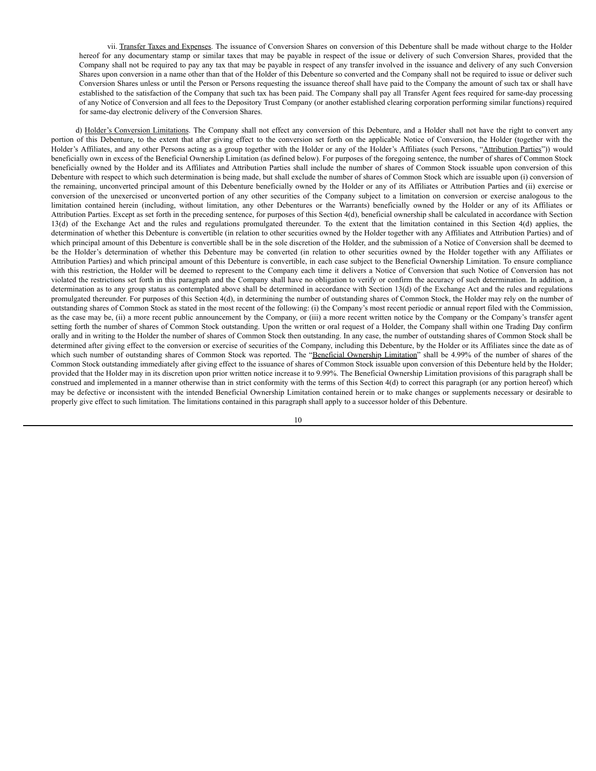vii. Transfer Taxes and Expenses. The issuance of Conversion Shares on conversion of this Debenture shall be made without charge to the Holder hereof for any documentary stamp or similar taxes that may be payable in respect of the issue or delivery of such Conversion Shares, provided that the Company shall not be required to pay any tax that may be payable in respect of any transfer involved in the issuance and delivery of any such Conversion Shares upon conversion in a name other than that of the Holder of this Debenture so converted and the Company shall not be required to issue or deliver such Conversion Shares unless or until the Person or Persons requesting the issuance thereof shall have paid to the Company the amount of such tax or shall have established to the satisfaction of the Company that such tax has been paid. The Company shall pay all Transfer Agent fees required for same-day processing of any Notice of Conversion and all fees to the Depository Trust Company (or another established clearing corporation performing similar functions) required for same-day electronic delivery of the Conversion Shares.

d) Holder's Conversion Limitations. The Company shall not effect any conversion of this Debenture, and a Holder shall not have the right to convert any portion of this Debenture, to the extent that after giving effect to the conversion set forth on the applicable Notice of Conversion, the Holder (together with the Holder's Affiliates, and any other Persons acting as a group together with the Holder or any of the Holder's Affiliates (such Persons, "Attribution Parties")) would beneficially own in excess of the Beneficial Ownership Limitation (as defined below). For purposes of the foregoing sentence, the number of shares of Common Stock beneficially owned by the Holder and its Affiliates and Attribution Parties shall include the number of shares of Common Stock issuable upon conversion of this Debenture with respect to which such determination is being made, but shall exclude the number of shares of Common Stock which are issuable upon (i) conversion of the remaining, unconverted principal amount of this Debenture beneficially owned by the Holder or any of its Affiliates or Attribution Parties and (ii) exercise or conversion of the unexercised or unconverted portion of any other securities of the Company subject to a limitation on conversion or exercise analogous to the limitation contained herein (including, without limitation, any other Debentures or the Warrants) beneficially owned by the Holder or any of its Affiliates or Attribution Parties. Except as set forth in the preceding sentence, for purposes of this Section 4(d), beneficial ownership shall be calculated in accordance with Section 13(d) of the Exchange Act and the rules and regulations promulgated thereunder. To the extent that the limitation contained in this Section 4(d) applies, the determination of whether this Debenture is convertible (in relation to other securities owned by the Holder together with any Affiliates and Attribution Parties) and of which principal amount of this Debenture is convertible shall be in the sole discretion of the Holder, and the submission of a Notice of Conversion shall be deemed to be the Holder's determination of whether this Debenture may be converted (in relation to other securities owned by the Holder together with any Affiliates or Attribution Parties) and which principal amount of this Debenture is convertible, in each case subject to the Beneficial Ownership Limitation. To ensure compliance with this restriction, the Holder will be deemed to represent to the Company each time it delivers a Notice of Conversion that such Notice of Conversion has not violated the restrictions set forth in this paragraph and the Company shall have no obligation to verify or confirm the accuracy of such determination. In addition, a determination as to any group status as contemplated above shall be determined in accordance with Section 13(d) of the Exchange Act and the rules and regulations promulgated thereunder. For purposes of this Section 4(d), in determining the number of outstanding shares of Common Stock, the Holder may rely on the number of outstanding shares of Common Stock as stated in the most recent of the following: (i) the Company's most recent periodic or annual report filed with the Commission, as the case may be, (ii) a more recent public announcement by the Company, or (iii) a more recent written notice by the Company or the Company's transfer agent setting forth the number of shares of Common Stock outstanding. Upon the written or oral request of a Holder, the Company shall within one Trading Day confirm orally and in writing to the Holder the number of shares of Common Stock then outstanding. In any case, the number of outstanding shares of Common Stock shall be determined after giving effect to the conversion or exercise of securities of the Company, including this Debenture, by the Holder or its Affiliates since the date as of which such number of outstanding shares of Common Stock was reported. The "Beneficial Ownership Limitation" shall be 4.99% of the number of shares of the Common Stock outstanding immediately after giving effect to the issuance of shares of Common Stock issuable upon conversion of this Debenture held by the Holder; provided that the Holder may in its discretion upon prior written notice increase it to 9.99%. The Beneficial Ownership Limitation provisions of this paragraph shall be construed and implemented in a manner otherwise than in strict conformity with the terms of this Section 4(d) to correct this paragraph (or any portion hereof) which may be defective or inconsistent with the intended Beneficial Ownership Limitation contained herein or to make changes or supplements necessary or desirable to properly give effect to such limitation. The limitations contained in this paragraph shall apply to a successor holder of this Debenture.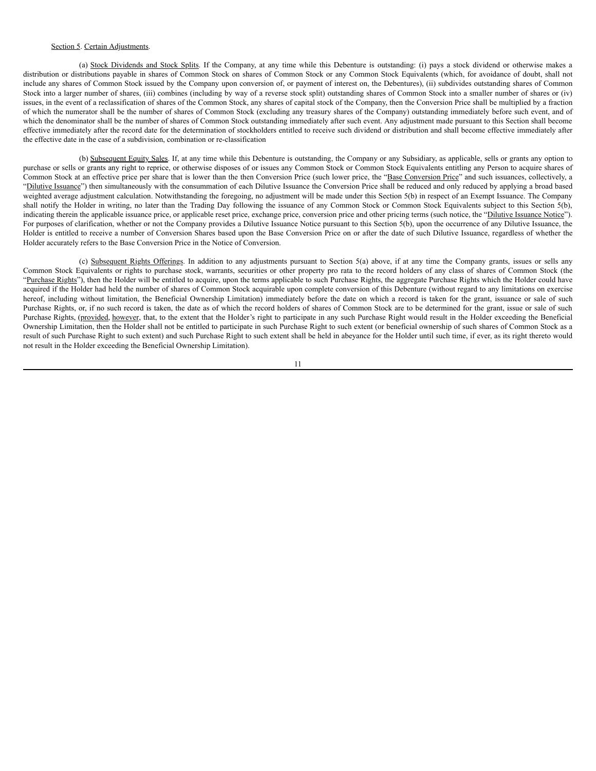## Section 5. Certain Adjustments.

(a) Stock Dividends and Stock Splits. If the Company, at any time while this Debenture is outstanding: (i) pays a stock dividend or otherwise makes a distribution or distributions payable in shares of Common Stock on shares of Common Stock or any Common Stock Equivalents (which, for avoidance of doubt, shall not include any shares of Common Stock issued by the Company upon conversion of, or payment of interest on, the Debentures), (ii) subdivides outstanding shares of Common Stock into a larger number of shares, (iii) combines (including by way of a reverse stock split) outstanding shares of Common Stock into a smaller number of shares or (iv) issues, in the event of a reclassification of shares of the Common Stock, any shares of capital stock of the Company, then the Conversion Price shall be multiplied by a fraction of which the numerator shall be the number of shares of Common Stock (excluding any treasury shares of the Company) outstanding immediately before such event, and of which the denominator shall be the number of shares of Common Stock outstanding immediately after such event. Any adjustment made pursuant to this Section shall become effective immediately after the record date for the determination of stockholders entitled to receive such dividend or distribution and shall become effective immediately after the effective date in the case of a subdivision, combination or re-classification

(b) Subsequent Equity Sales. If, at any time while this Debenture is outstanding, the Company or any Subsidiary, as applicable, sells or grants any option to purchase or sells or grants any right to reprice, or otherwise disposes of or issues any Common Stock or Common Stock Equivalents entitling any Person to acquire shares of Common Stock at an effective price per share that is lower than the then Conversion Price (such lower price, the "Base Conversion Price" and such issuances, collectively, a "Dilutive Issuance") then simultaneously with the consummation of each Dilutive Issuance the Conversion Price shall be reduced and only reduced by applying a broad based weighted average adjustment calculation. Notwithstanding the foregoing, no adjustment will be made under this Section 5(b) in respect of an Exempt Issuance. The Company shall notify the Holder in writing, no later than the Trading Day following the issuance of any Common Stock or Common Stock Equivalents subject to this Section 5(b), indicating therein the applicable issuance price, or applicable reset price, exchange price, conversion price and other pricing terms (such notice, the "Dilutive Issuance Notice"). For purposes of clarification, whether or not the Company provides a Dilutive Issuance Notice pursuant to this Section 5(b), upon the occurrence of any Dilutive Issuance, the Holder is entitled to receive a number of Conversion Shares based upon the Base Conversion Price on or after the date of such Dilutive Issuance, regardless of whether the Holder accurately refers to the Base Conversion Price in the Notice of Conversion.

(c) Subsequent Rights Offerings. In addition to any adjustments pursuant to Section 5(a) above, if at any time the Company grants, issues or sells any Common Stock Equivalents or rights to purchase stock, warrants, securities or other property pro rata to the record holders of any class of shares of Common Stock (the "Purchase Rights"), then the Holder will be entitled to acquire, upon the terms applicable to such Purchase Rights, the aggregate Purchase Rights which the Holder could have acquired if the Holder had held the number of shares of Common Stock acquirable upon complete conversion of this Debenture (without regard to any limitations on exercise hereof, including without limitation, the Beneficial Ownership Limitation) immediately before the date on which a record is taken for the grant, issuance or sale of such Purchase Rights, or, if no such record is taken, the date as of which the record holders of shares of Common Stock are to be determined for the grant, issue or sale of such Purchase Rights, (provided, however, that, to the extent that the Holder's right to participate in any such Purchase Right would result in the Holder exceeding the Beneficial Ownership Limitation, then the Holder shall not be entitled to participate in such Purchase Right to such extent (or beneficial ownership of such shares of Common Stock as a result of such Purchase Right to such extent) and such Purchase Right to such extent shall be held in abeyance for the Holder until such time, if ever, as its right thereto would not result in the Holder exceeding the Beneficial Ownership Limitation).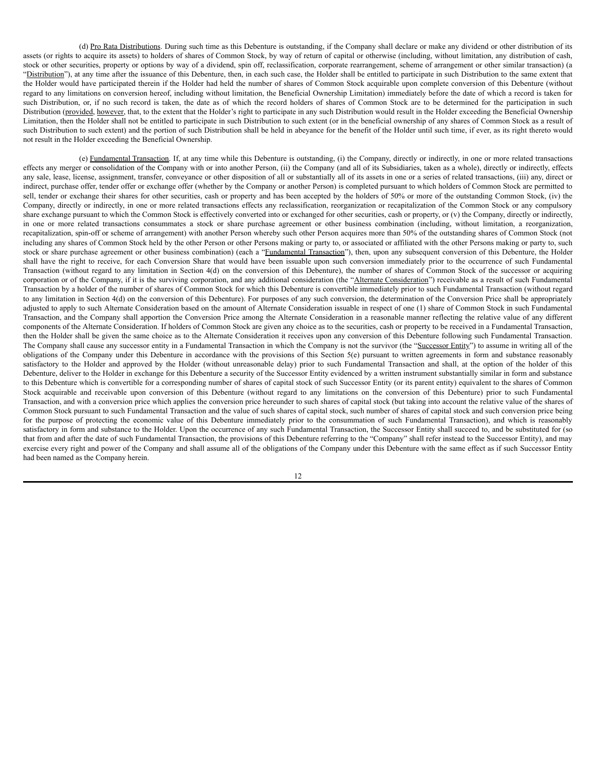(d) Pro Rata Distributions. During such time as this Debenture is outstanding, if the Company shall declare or make any dividend or other distribution of its assets (or rights to acquire its assets) to holders of shares of Common Stock, by way of return of capital or otherwise (including, without limitation, any distribution of cash, stock or other securities, property or options by way of a dividend, spin off, reclassification, corporate rearrangement, scheme of arrangement or other similar transaction) (a "Distribution"), at any time after the issuance of this Debenture, then, in each such case, the Holder shall be entitled to participate in such Distribution to the same extent that the Holder would have participated therein if the Holder had held the number of shares of Common Stock acquirable upon complete conversion of this Debenture (without regard to any limitations on conversion hereof, including without limitation, the Beneficial Ownership Limitation) immediately before the date of which a record is taken for such Distribution, or, if no such record is taken, the date as of which the record holders of shares of Common Stock are to be determined for the participation in such Distribution (provided, however, that, to the extent that the Holder's right to participate in any such Distribution would result in the Holder exceeding the Beneficial Ownership Limitation, then the Holder shall not be entitled to participate in such Distribution to such extent (or in the beneficial ownership of any shares of Common Stock as a result of such Distribution to such extent) and the portion of such Distribution shall be held in abeyance for the benefit of the Holder until such time, if ever, as its right thereto would not result in the Holder exceeding the Beneficial Ownership.

(e) Fundamental Transaction. If, at any time while this Debenture is outstanding, (i) the Company, directly or indirectly, in one or more related transactions effects any merger or consolidation of the Company with or into another Person, (ii) the Company (and all of its Subsidiaries, taken as a whole), directly or indirectly, effects any sale, lease, license, assignment, transfer, conveyance or other disposition of all or substantially all of its assets in one or a series of related transactions, (iii) any, direct or indirect, purchase offer, tender offer or exchange offer (whether by the Company or another Person) is completed pursuant to which holders of Common Stock are permitted to sell, tender or exchange their shares for other securities, cash or property and has been accepted by the holders of 50% or more of the outstanding Common Stock, (iv) the Company, directly or indirectly, in one or more related transactions effects any reclassification, reorganization or recapitalization of the Common Stock or any compulsory share exchange pursuant to which the Common Stock is effectively converted into or exchanged for other securities, cash or property, or (v) the Company, directly or indirectly, in one or more related transactions consummates a stock or share purchase agreement or other business combination (including, without limitation, a reorganization, recapitalization, spin-off or scheme of arrangement) with another Person whereby such other Person acquires more than 50% of the outstanding shares of Common Stock (not including any shares of Common Stock held by the other Person or other Persons making or party to, or associated or affiliated with the other Persons making or party to, such stock or share purchase agreement or other business combination) (each a "Fundamental Transaction"), then, upon any subsequent conversion of this Debenture, the Holder shall have the right to receive, for each Conversion Share that would have been issuable upon such conversion immediately prior to the occurrence of such Fundamental Transaction (without regard to any limitation in Section 4(d) on the conversion of this Debenture), the number of shares of Common Stock of the successor or acquiring corporation or of the Company, if it is the surviving corporation, and any additional consideration (the "Alternate Consideration") receivable as a result of such Fundamental Transaction by a holder of the number of shares of Common Stock for which this Debenture is convertible immediately prior to such Fundamental Transaction (without regard to any limitation in Section 4(d) on the conversion of this Debenture). For purposes of any such conversion, the determination of the Conversion Price shall be appropriately adjusted to apply to such Alternate Consideration based on the amount of Alternate Consideration issuable in respect of one (1) share of Common Stock in such Fundamental Transaction, and the Company shall apportion the Conversion Price among the Alternate Consideration in a reasonable manner reflecting the relative value of any different components of the Alternate Consideration. If holders of Common Stock are given any choice as to the securities, cash or property to be received in a Fundamental Transaction, then the Holder shall be given the same choice as to the Alternate Consideration it receives upon any conversion of this Debenture following such Fundamental Transaction. The Company shall cause any successor entity in a Fundamental Transaction in which the Company is not the survivor (the "Successor Entity") to assume in writing all of the obligations of the Company under this Debenture in accordance with the provisions of this Section 5(e) pursuant to written agreements in form and substance reasonably satisfactory to the Holder and approved by the Holder (without unreasonable delay) prior to such Fundamental Transaction and shall, at the option of the holder of this Debenture, deliver to the Holder in exchange for this Debenture a security of the Successor Entity evidenced by a written instrument substantially similar in form and substance to this Debenture which is convertible for a corresponding number of shares of capital stock of such Successor Entity (or its parent entity) equivalent to the shares of Common Stock acquirable and receivable upon conversion of this Debenture (without regard to any limitations on the conversion of this Debenture) prior to such Fundamental Transaction, and with a conversion price which applies the conversion price hereunder to such shares of capital stock (but taking into account the relative value of the shares of Common Stock pursuant to such Fundamental Transaction and the value of such shares of capital stock, such number of shares of capital stock and such conversion price being for the purpose of protecting the economic value of this Debenture immediately prior to the consummation of such Fundamental Transaction), and which is reasonably satisfactory in form and substance to the Holder. Upon the occurrence of any such Fundamental Transaction, the Successor Entity shall succeed to, and be substituted for (so that from and after the date of such Fundamental Transaction, the provisions of this Debenture referring to the "Company" shall refer instead to the Successor Entity), and may exercise every right and power of the Company and shall assume all of the obligations of the Company under this Debenture with the same effect as if such Successor Entity had been named as the Company herein.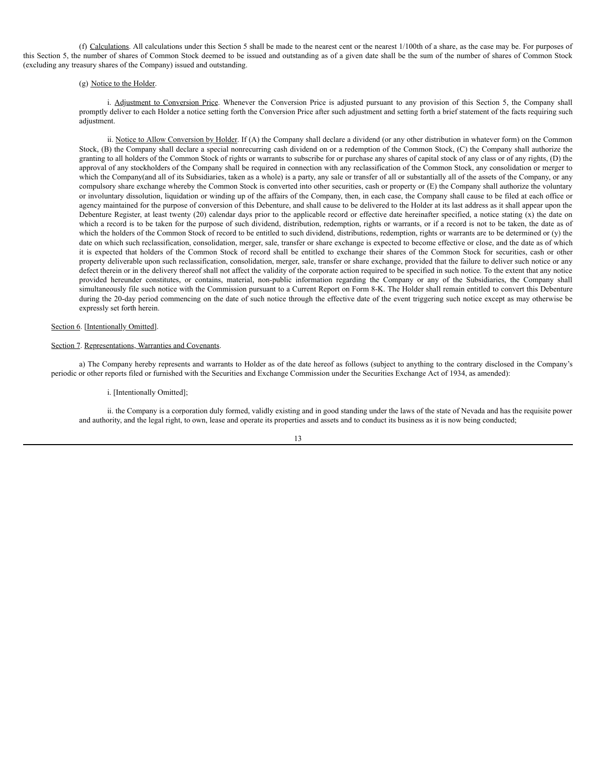(f) Calculations. All calculations under this Section 5 shall be made to the nearest cent or the nearest 1/100th of a share, as the case may be. For purposes of this Section 5, the number of shares of Common Stock deemed to be issued and outstanding as of a given date shall be the sum of the number of shares of Common Stock (excluding any treasury shares of the Company) issued and outstanding.

### (g) Notice to the Holder.

i. Adjustment to Conversion Price. Whenever the Conversion Price is adjusted pursuant to any provision of this Section 5, the Company shall promptly deliver to each Holder a notice setting forth the Conversion Price after such adjustment and setting forth a brief statement of the facts requiring such adjustment.

ii. Notice to Allow Conversion by Holder. If (A) the Company shall declare a dividend (or any other distribution in whatever form) on the Common Stock, (B) the Company shall declare a special nonrecurring cash dividend on or a redemption of the Common Stock, (C) the Company shall authorize the granting to all holders of the Common Stock of rights or warrants to subscribe for or purchase any shares of capital stock of any class or of any rights, (D) the approval of any stockholders of the Company shall be required in connection with any reclassification of the Common Stock, any consolidation or merger to which the Company(and all of its Subsidiaries, taken as a whole) is a party, any sale or transfer of all or substantially all of the assets of the Company, or any compulsory share exchange whereby the Common Stock is converted into other securities, cash or property or (E) the Company shall authorize the voluntary or involuntary dissolution, liquidation or winding up of the affairs of the Company, then, in each case, the Company shall cause to be filed at each office or agency maintained for the purpose of conversion of this Debenture, and shall cause to be delivered to the Holder at its last address as it shall appear upon the Debenture Register, at least twenty (20) calendar days prior to the applicable record or effective date hereinafter specified, a notice stating (x) the date on which a record is to be taken for the purpose of such dividend, distribution, redemption, rights or warrants, or if a record is not to be taken, the date as of which the holders of the Common Stock of record to be entitled to such dividend, distributions, redemption, rights or warrants are to be determined or (y) the date on which such reclassification, consolidation, merger, sale, transfer or share exchange is expected to become effective or close, and the date as of which it is expected that holders of the Common Stock of record shall be entitled to exchange their shares of the Common Stock for securities, cash or other property deliverable upon such reclassification, consolidation, merger, sale, transfer or share exchange, provided that the failure to deliver such notice or any defect therein or in the delivery thereof shall not affect the validity of the corporate action required to be specified in such notice. To the extent that any notice provided hereunder constitutes, or contains, material, non-public information regarding the Company or any of the Subsidiaries, the Company shall simultaneously file such notice with the Commission pursuant to a Current Report on Form 8-K. The Holder shall remain entitled to convert this Debenture during the 20-day period commencing on the date of such notice through the effective date of the event triggering such notice except as may otherwise be expressly set forth herein.

### Section 6. [Intentionally Omitted].

#### Section 7. Representations, Warranties and Covenants.

a) The Company hereby represents and warrants to Holder as of the date hereof as follows (subject to anything to the contrary disclosed in the Company's periodic or other reports filed or furnished with the Securities and Exchange Commission under the Securities Exchange Act of 1934, as amended):

i. [Intentionally Omitted];

ii. the Company is a corporation duly formed, validly existing and in good standing under the laws of the state of Nevada and has the requisite power and authority, and the legal right, to own, lease and operate its properties and assets and to conduct its business as it is now being conducted;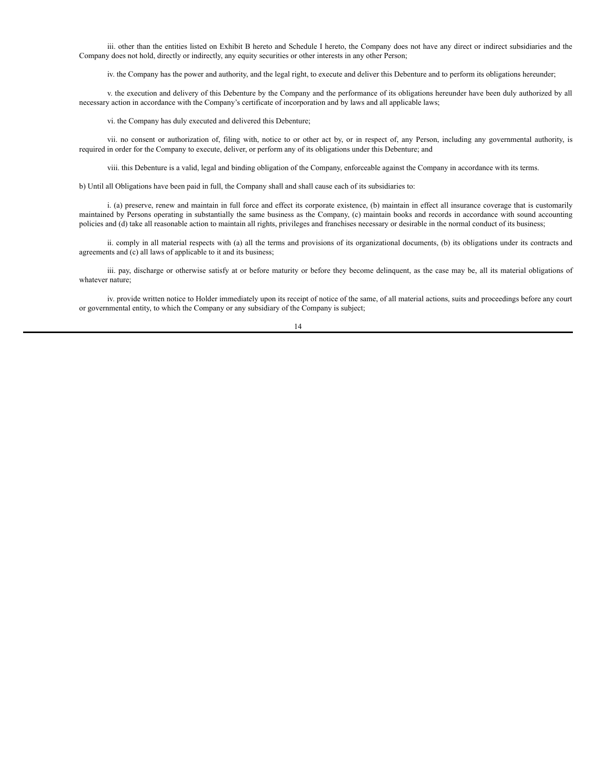iii. other than the entities listed on Exhibit B hereto and Schedule I hereto, the Company does not have any direct or indirect subsidiaries and the Company does not hold, directly or indirectly, any equity securities or other interests in any other Person;

iv. the Company has the power and authority, and the legal right, to execute and deliver this Debenture and to perform its obligations hereunder;

v. the execution and delivery of this Debenture by the Company and the performance of its obligations hereunder have been duly authorized by all necessary action in accordance with the Company's certificate of incorporation and by laws and all applicable laws;

vi. the Company has duly executed and delivered this Debenture;

vii. no consent or authorization of, filing with, notice to or other act by, or in respect of, any Person, including any governmental authority, is required in order for the Company to execute, deliver, or perform any of its obligations under this Debenture; and

viii. this Debenture is a valid, legal and binding obligation of the Company, enforceable against the Company in accordance with its terms.

b) Until all Obligations have been paid in full, the Company shall and shall cause each of its subsidiaries to:

i. (a) preserve, renew and maintain in full force and effect its corporate existence, (b) maintain in effect all insurance coverage that is customarily maintained by Persons operating in substantially the same business as the Company, (c) maintain books and records in accordance with sound accounting policies and (d) take all reasonable action to maintain all rights, privileges and franchises necessary or desirable in the normal conduct of its business;

ii. comply in all material respects with (a) all the terms and provisions of its organizational documents, (b) its obligations under its contracts and agreements and (c) all laws of applicable to it and its business;

iii. pay, discharge or otherwise satisfy at or before maturity or before they become delinquent, as the case may be, all its material obligations of whatever nature;

iv. provide written notice to Holder immediately upon its receipt of notice of the same, of all material actions, suits and proceedings before any court or governmental entity, to which the Company or any subsidiary of the Company is subject;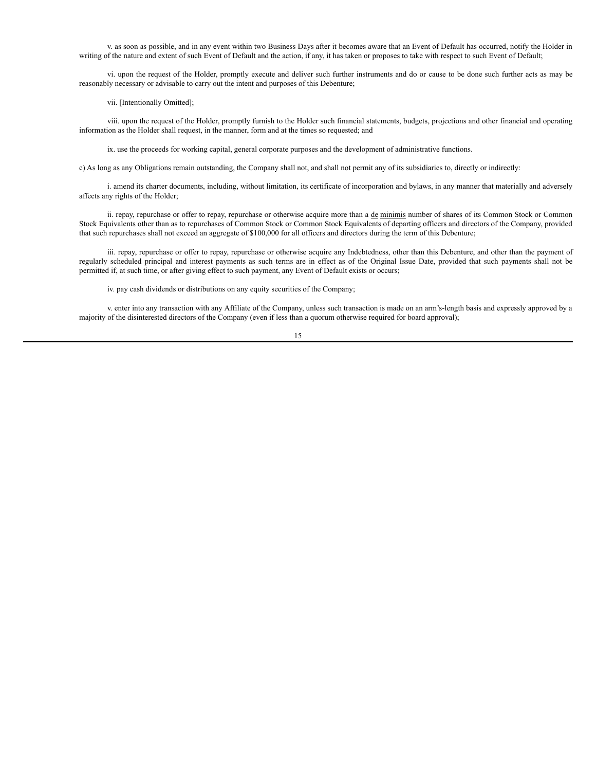v. as soon as possible, and in any event within two Business Days after it becomes aware that an Event of Default has occurred, notify the Holder in writing of the nature and extent of such Event of Default and the action, if any, it has taken or proposes to take with respect to such Event of Default;

vi. upon the request of the Holder, promptly execute and deliver such further instruments and do or cause to be done such further acts as may be reasonably necessary or advisable to carry out the intent and purposes of this Debenture;

vii. [Intentionally Omitted];

viii. upon the request of the Holder, promptly furnish to the Holder such financial statements, budgets, projections and other financial and operating information as the Holder shall request, in the manner, form and at the times so requested; and

ix. use the proceeds for working capital, general corporate purposes and the development of administrative functions.

c) As long as any Obligations remain outstanding, the Company shall not, and shall not permit any of its subsidiaries to, directly or indirectly:

i. amend its charter documents, including, without limitation, its certificate of incorporation and bylaws, in any manner that materially and adversely affects any rights of the Holder;

ii. repay, repurchase or offer to repay, repurchase or otherwise acquire more than a de minimis number of shares of its Common Stock or Common Stock Equivalents other than as to repurchases of Common Stock or Common Stock Equivalents of departing officers and directors of the Company, provided that such repurchases shall not exceed an aggregate of \$100,000 for all officers and directors during the term of this Debenture;

iii. repay, repurchase or offer to repay, repurchase or otherwise acquire any Indebtedness, other than this Debenture, and other than the payment of regularly scheduled principal and interest payments as such terms are in effect as of the Original Issue Date, provided that such payments shall not be permitted if, at such time, or after giving effect to such payment, any Event of Default exists or occurs;

iv. pay cash dividends or distributions on any equity securities of the Company;

v. enter into any transaction with any Affiliate of the Company, unless such transaction is made on an arm's-length basis and expressly approved by a majority of the disinterested directors of the Company (even if less than a quorum otherwise required for board approval);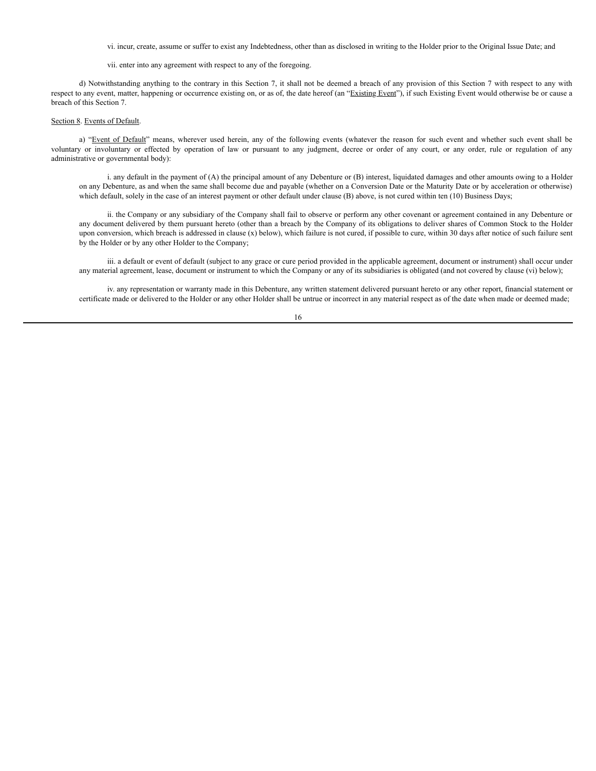vi. incur, create, assume or suffer to exist any Indebtedness, other than as disclosed in writing to the Holder prior to the Original Issue Date; and

vii. enter into any agreement with respect to any of the foregoing.

d) Notwithstanding anything to the contrary in this Section 7, it shall not be deemed a breach of any provision of this Section 7 with respect to any with respect to any event, matter, happening or occurrence existing on, or as of, the date hereof (an "Existing Event"), if such Existing Event would otherwise be or cause a breach of this Section 7.

### Section 8. Events of Default.

a) "Event of Default" means, wherever used herein, any of the following events (whatever the reason for such event and whether such event shall be voluntary or involuntary or effected by operation of law or pursuant to any judgment, decree or order of any court, or any order, rule or regulation of any administrative or governmental body):

i. any default in the payment of (A) the principal amount of any Debenture or (B) interest, liquidated damages and other amounts owing to a Holder on any Debenture, as and when the same shall become due and payable (whether on a Conversion Date or the Maturity Date or by acceleration or otherwise) which default, solely in the case of an interest payment or other default under clause (B) above, is not cured within ten (10) Business Days;

ii. the Company or any subsidiary of the Company shall fail to observe or perform any other covenant or agreement contained in any Debenture or any document delivered by them pursuant hereto (other than a breach by the Company of its obligations to deliver shares of Common Stock to the Holder upon conversion, which breach is addressed in clause (x) below), which failure is not cured, if possible to cure, within 30 days after notice of such failure sent by the Holder or by any other Holder to the Company;

iii. a default or event of default (subject to any grace or cure period provided in the applicable agreement, document or instrument) shall occur under any material agreement, lease, document or instrument to which the Company or any of its subsidiaries is obligated (and not covered by clause (vi) below);

iv. any representation or warranty made in this Debenture, any written statement delivered pursuant hereto or any other report, financial statement or certificate made or delivered to the Holder or any other Holder shall be untrue or incorrect in any material respect as of the date when made or deemed made;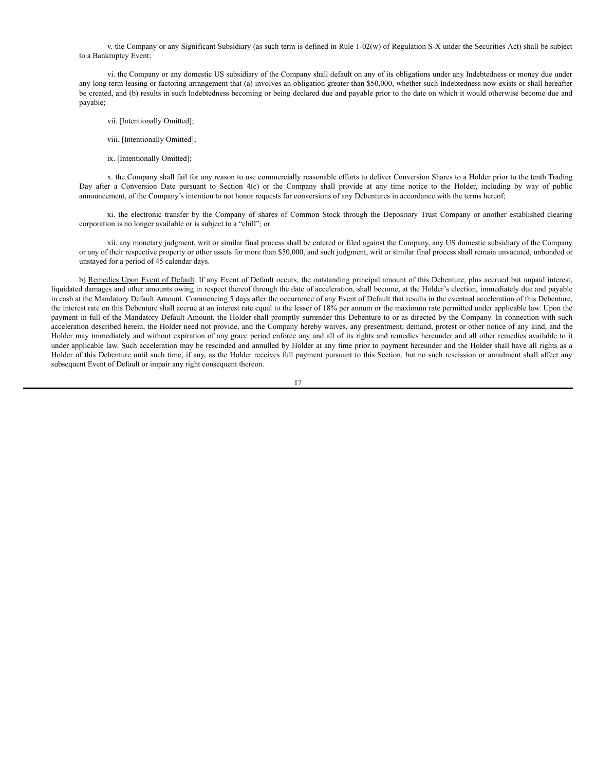v. the Company or any Significant Subsidiary (as such term is defined in Rule 1-02(w) of Regulation S-X under the Securities Act) shall be subject to a Bankruptcy Event;

vi. the Company or any domestic US subsidiary of the Company shall default on any of its obligations under any Indebtedness or money due under any long term leasing or factoring arrangement that (a) involves an obligation greater than \$50,000, whether such Indebtedness now exists or shall hereafter be created, and (b) results in such Indebtedness becoming or being declared due and payable prior to the date on which it would otherwise become due and payable;

- vii. [Intentionally Omitted];
- viii. [Intentionally Omitted];
- ix. [Intentionally Omitted];

x. the Company shall fail for any reason to use commercially reasonable efforts to deliver Conversion Shares to a Holder prior to the tenth Trading Day after a Conversion Date pursuant to Section 4(c) or the Company shall provide at any time notice to the Holder, including by way of public announcement, of the Company's intention to not honor requests for conversions of any Debentures in accordance with the terms hereof;

xi. the electronic transfer by the Company of shares of Common Stock through the Depository Trust Company or another established clearing corporation is no longer available or is subject to a "chill"; or

xii. any monetary judgment, writ or similar final process shall be entered or filed against the Company, any US domestic subsidiary of the Company or any of their respective property or other assets for more than \$50,000, and such judgment, writ or similar final process shall remain unvacated, unbonded or unstayed for a period of 45 calendar days.

b) Remedies Upon Event of Default. If any Event of Default occurs, the outstanding principal amount of this Debenture, plus accrued but unpaid interest, liquidated damages and other amounts owing in respect thereof through the date of acceleration, shall become, at the Holder's election, immediately due and payable in cash at the Mandatory Default Amount. Commencing 5 days after the occurrence of any Event of Default that results in the eventual acceleration of this Debenture, the interest rate on this Debenture shall accrue at an interest rate equal to the lesser of 18% per annum or the maximum rate permitted under applicable law. Upon the payment in full of the Mandatory Default Amount, the Holder shall promptly surrender this Debenture to or as directed by the Company. In connection with such acceleration described herein, the Holder need not provide, and the Company hereby waives, any presentment, demand, protest or other notice of any kind, and the Holder may immediately and without expiration of any grace period enforce any and all of its rights and remedies hereunder and all other remedies available to it under applicable law. Such acceleration may be rescinded and annulled by Holder at any time prior to payment hereunder and the Holder shall have all rights as a Holder of this Debenture until such time, if any, as the Holder receives full payment pursuant to this Section, but no such rescission or annulment shall affect any subsequent Event of Default or impair any right consequent thereon.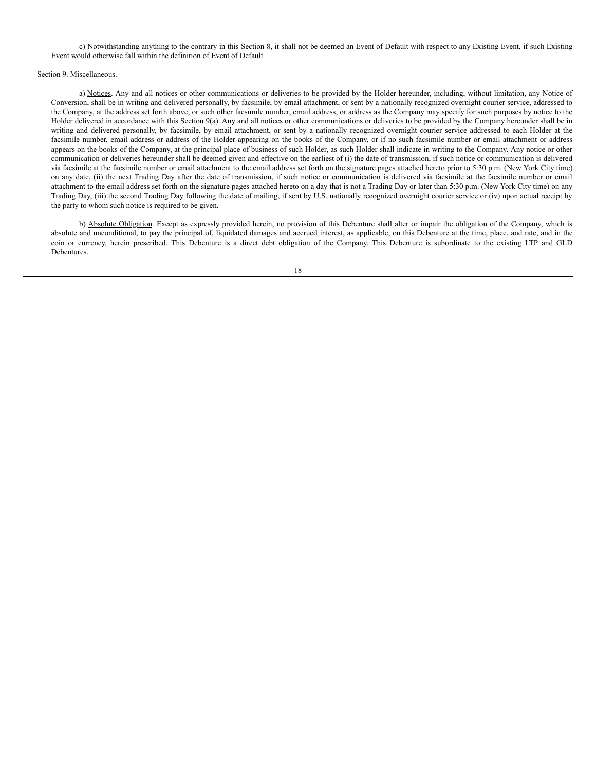c) Notwithstanding anything to the contrary in this Section 8, it shall not be deemed an Event of Default with respect to any Existing Event, if such Existing Event would otherwise fall within the definition of Event of Default.

### Section 9. Miscellaneous.

a) Notices. Any and all notices or other communications or deliveries to be provided by the Holder hereunder, including, without limitation, any Notice of Conversion, shall be in writing and delivered personally, by facsimile, by email attachment, or sent by a nationally recognized overnight courier service, addressed to the Company, at the address set forth above, or such other facsimile number, email address, or address as the Company may specify for such purposes by notice to the Holder delivered in accordance with this Section 9(a). Any and all notices or other communications or deliveries to be provided by the Company hereunder shall be in writing and delivered personally, by facsimile, by email attachment, or sent by a nationally recognized overnight courier service addressed to each Holder at the facsimile number, email address or address of the Holder appearing on the books of the Company, or if no such facsimile number or email attachment or address appears on the books of the Company, at the principal place of business of such Holder, as such Holder shall indicate in writing to the Company. Any notice or other communication or deliveries hereunder shall be deemed given and effective on the earliest of (i) the date of transmission, if such notice or communication is delivered via facsimile at the facsimile number or email attachment to the email address set forth on the signature pages attached hereto prior to 5:30 p.m. (New York City time) on any date, (ii) the next Trading Day after the date of transmission, if such notice or communication is delivered via facsimile at the facsimile number or email attachment to the email address set forth on the signature pages attached hereto on a day that is not a Trading Day or later than 5:30 p.m. (New York City time) on any Trading Day, (iii) the second Trading Day following the date of mailing, if sent by U.S. nationally recognized overnight courier service or (iv) upon actual receipt by the party to whom such notice is required to be given.

b) Absolute Obligation. Except as expressly provided herein, no provision of this Debenture shall alter or impair the obligation of the Company, which is absolute and unconditional, to pay the principal of, liquidated damages and accrued interest, as applicable, on this Debenture at the time, place, and rate, and in the coin or currency, herein prescribed. This Debenture is a direct debt obligation of the Company. This Debenture is subordinate to the existing LTP and GLD Debentures.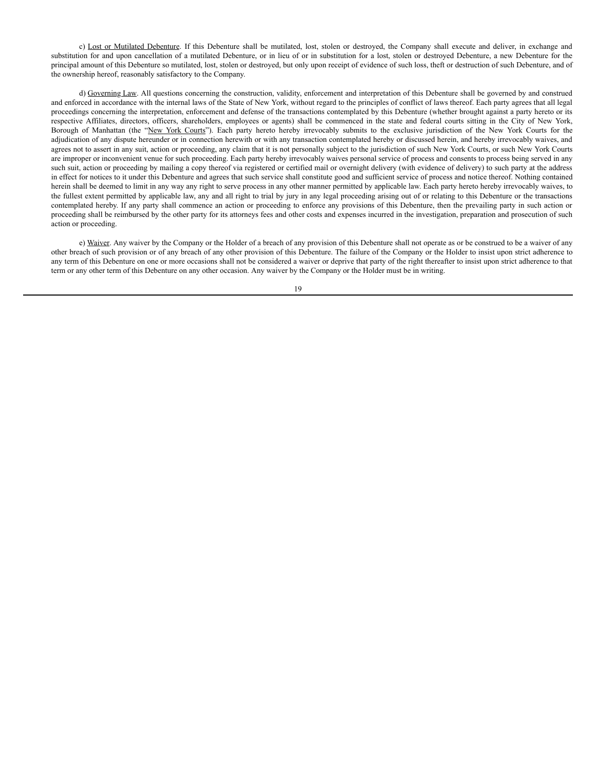c) Lost or Mutilated Debenture. If this Debenture shall be mutilated, lost, stolen or destroyed, the Company shall execute and deliver, in exchange and substitution for and upon cancellation of a mutilated Debenture, or in lieu of or in substitution for a lost, stolen or destroyed Debenture, a new Debenture for the principal amount of this Debenture so mutilated, lost, stolen or destroyed, but only upon receipt of evidence of such loss, theft or destruction of such Debenture, and of the ownership hereof, reasonably satisfactory to the Company.

d) Governing Law. All questions concerning the construction, validity, enforcement and interpretation of this Debenture shall be governed by and construed and enforced in accordance with the internal laws of the State of New York, without regard to the principles of conflict of laws thereof. Each party agrees that all legal proceedings concerning the interpretation, enforcement and defense of the transactions contemplated by this Debenture (whether brought against a party hereto or its respective Affiliates, directors, officers, shareholders, employees or agents) shall be commenced in the state and federal courts sitting in the City of New York, Borough of Manhattan (the "New York Courts"). Each party hereto hereby irrevocably submits to the exclusive jurisdiction of the New York Courts for the adjudication of any dispute hereunder or in connection herewith or with any transaction contemplated hereby or discussed herein, and hereby irrevocably waives, and agrees not to assert in any suit, action or proceeding, any claim that it is not personally subject to the jurisdiction of such New York Courts, or such New York Courts are improper or inconvenient venue for such proceeding. Each party hereby irrevocably waives personal service of process and consents to process being served in any such suit, action or proceeding by mailing a copy thereof via registered or certified mail or overnight delivery (with evidence of delivery) to such party at the address in effect for notices to it under this Debenture and agrees that such service shall constitute good and sufficient service of process and notice thereof. Nothing contained herein shall be deemed to limit in any way any right to serve process in any other manner permitted by applicable law. Each party hereto hereby irrevocably waives, to the fullest extent permitted by applicable law, any and all right to trial by jury in any legal proceeding arising out of or relating to this Debenture or the transactions contemplated hereby. If any party shall commence an action or proceeding to enforce any provisions of this Debenture, then the prevailing party in such action or proceeding shall be reimbursed by the other party for its attorneys fees and other costs and expenses incurred in the investigation, preparation and prosecution of such action or proceeding.

e) Waiver. Any waiver by the Company or the Holder of a breach of any provision of this Debenture shall not operate as or be construed to be a waiver of any other breach of such provision or of any breach of any other provision of this Debenture. The failure of the Company or the Holder to insist upon strict adherence to any term of this Debenture on one or more occasions shall not be considered a waiver or deprive that party of the right thereafter to insist upon strict adherence to that term or any other term of this Debenture on any other occasion. Any waiver by the Company or the Holder must be in writing.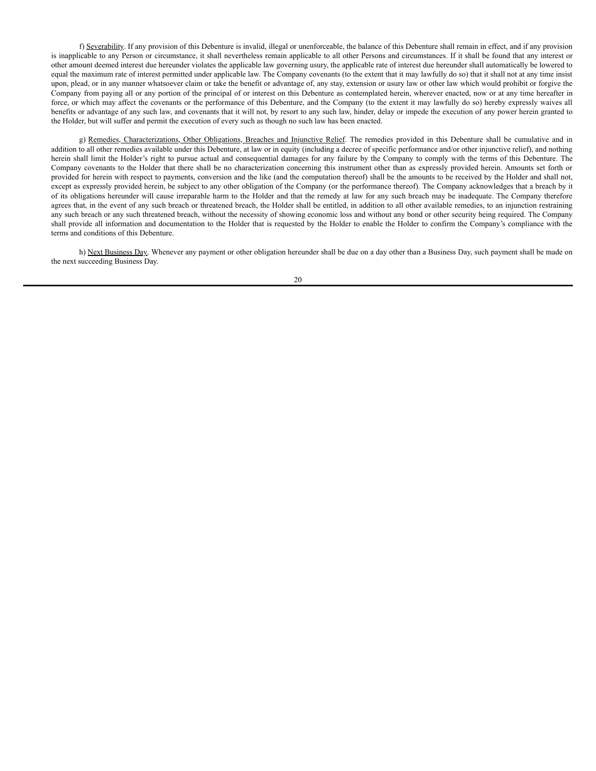f) Severability. If any provision of this Debenture is invalid, illegal or unenforceable, the balance of this Debenture shall remain in effect, and if any provision is inapplicable to any Person or circumstance, it shall nevertheless remain applicable to all other Persons and circumstances. If it shall be found that any interest or other amount deemed interest due hereunder violates the applicable law governing usury, the applicable rate of interest due hereunder shall automatically be lowered to equal the maximum rate of interest permitted under applicable law. The Company covenants (to the extent that it may lawfully do so) that it shall not at any time insist upon, plead, or in any manner whatsoever claim or take the benefit or advantage of, any stay, extension or usury law or other law which would prohibit or forgive the Company from paying all or any portion of the principal of or interest on this Debenture as contemplated herein, wherever enacted, now or at any time hereafter in force, or which may affect the covenants or the performance of this Debenture, and the Company (to the extent it may lawfully do so) hereby expressly waives all benefits or advantage of any such law, and covenants that it will not, by resort to any such law, hinder, delay or impede the execution of any power herein granted to the Holder, but will suffer and permit the execution of every such as though no such law has been enacted.

g) Remedies, Characterizations, Other Obligations, Breaches and Injunctive Relief. The remedies provided in this Debenture shall be cumulative and in addition to all other remedies available under this Debenture, at law or in equity (including a decree of specific performance and/or other injunctive relief), and nothing herein shall limit the Holder's right to pursue actual and consequential damages for any failure by the Company to comply with the terms of this Debenture. The Company covenants to the Holder that there shall be no characterization concerning this instrument other than as expressly provided herein. Amounts set forth or provided for herein with respect to payments, conversion and the like (and the computation thereof) shall be the amounts to be received by the Holder and shall not, except as expressly provided herein, be subject to any other obligation of the Company (or the performance thereof). The Company acknowledges that a breach by it of its obligations hereunder will cause irreparable harm to the Holder and that the remedy at law for any such breach may be inadequate. The Company therefore agrees that, in the event of any such breach or threatened breach, the Holder shall be entitled, in addition to all other available remedies, to an injunction restraining any such breach or any such threatened breach, without the necessity of showing economic loss and without any bond or other security being required. The Company shall provide all information and documentation to the Holder that is requested by the Holder to enable the Holder to confirm the Company's compliance with the terms and conditions of this Debenture.

h) Next Business Day. Whenever any payment or other obligation hereunder shall be due on a day other than a Business Day, such payment shall be made on the next succeeding Business Day.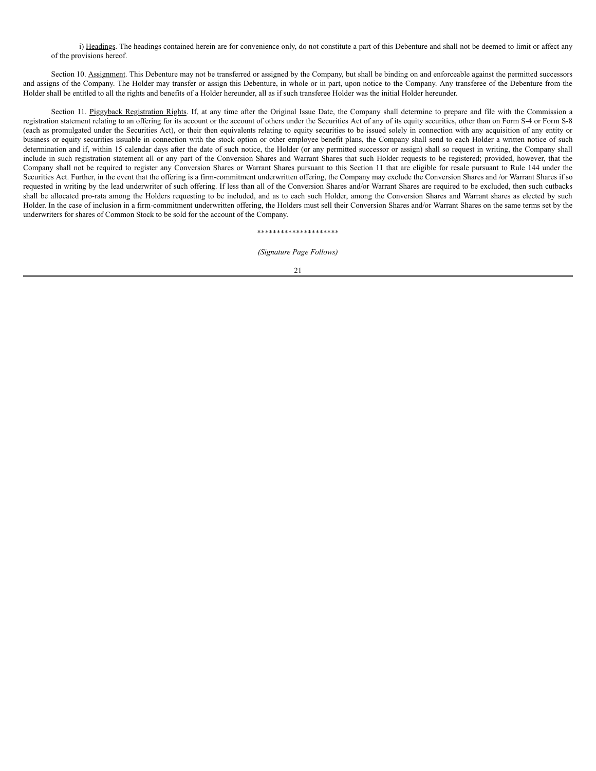i) Headings. The headings contained herein are for convenience only, do not constitute a part of this Debenture and shall not be deemed to limit or affect any of the provisions hereof.

Section 10. Assignment. This Debenture may not be transferred or assigned by the Company, but shall be binding on and enforceable against the permitted successors and assigns of the Company. The Holder may transfer or assign this Debenture, in whole or in part, upon notice to the Company. Any transferee of the Debenture from the Holder shall be entitled to all the rights and benefits of a Holder hereunder, all as if such transferee Holder was the initial Holder hereunder.

Section 11. Piggyback Registration Rights. If, at any time after the Original Issue Date, the Company shall determine to prepare and file with the Commission a registration statement relating to an offering for its account or the account of others under the Securities Act of any of its equity securities, other than on Form S-4 or Form S-8 (each as promulgated under the Securities Act), or their then equivalents relating to equity securities to be issued solely in connection with any acquisition of any entity or business or equity securities issuable in connection with the stock option or other employee benefit plans, the Company shall send to each Holder a written notice of such determination and if, within 15 calendar days after the date of such notice, the Holder (or any permitted successor or assign) shall so request in writing, the Company shall include in such registration statement all or any part of the Conversion Shares and Warrant Shares that such Holder requests to be registered; provided, however, that the Company shall not be required to register any Conversion Shares or Warrant Shares pursuant to this Section 11 that are eligible for resale pursuant to Rule 144 under the Securities Act. Further, in the event that the offering is a firm-commitment underwritten offering, the Company may exclude the Conversion Shares and /or Warrant Shares if so requested in writing by the lead underwriter of such offering. If less than all of the Conversion Shares and/or Warrant Shares are required to be excluded, then such cutbacks shall be allocated pro-rata among the Holders requesting to be included, and as to each such Holder, among the Conversion Shares and Warrant shares as elected by such Holder. In the case of inclusion in a firm-commitment underwritten offering, the Holders must sell their Conversion Shares and/or Warrant Shares on the same terms set by the underwriters for shares of Common Stock to be sold for the account of the Company.

### \*\*\*\*\*\*\*\*\*\*\*\*\*\*\*\*\*\*\*\*\*

#### *(Signature Page Follows)*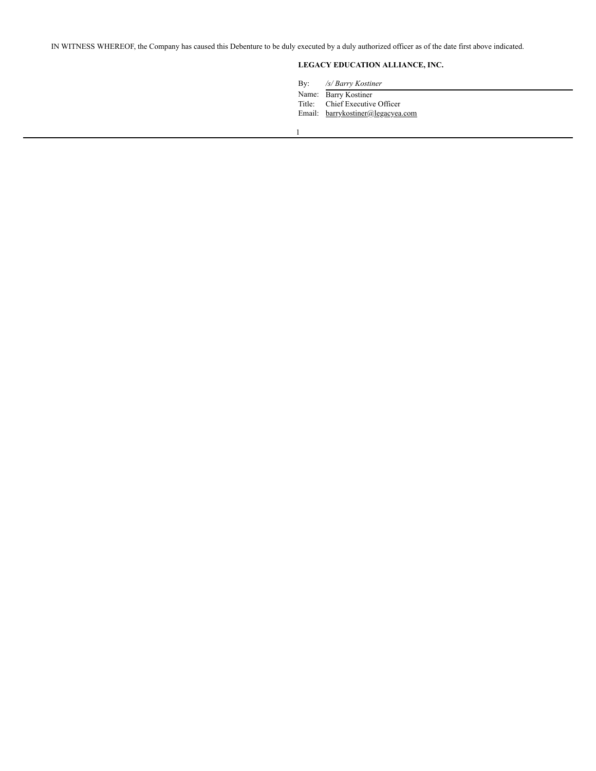IN WITNESS WHEREOF, the Company has caused this Debenture to be duly executed by a duly authorized officer as of the date first above indicated.

# **LEGACY EDUCATION ALLIANCE, INC.**

By: */s/ Barry Kostiner* Name: Barry Kostiner Title: Chief Executive Officer Email: barrykostiner@legacyea.com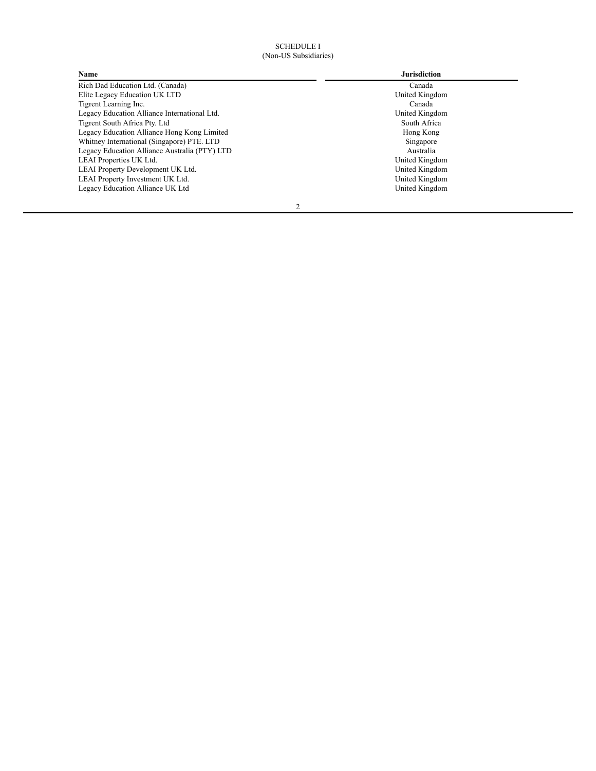# SCHEDULE I (Non-US Subsidiaries)

| Name                                          | <b>Jurisdiction</b> |
|-----------------------------------------------|---------------------|
| Rich Dad Education Ltd. (Canada)              | Canada              |
| Elite Legacy Education UK LTD                 | United Kingdom      |
| Tigrent Learning Inc.                         | Canada              |
| Legacy Education Alliance International Ltd.  | United Kingdom      |
| Tigrent South Africa Pty. Ltd                 | South Africa        |
| Legacy Education Alliance Hong Kong Limited   | Hong Kong           |
| Whitney International (Singapore) PTE. LTD    | Singapore           |
| Legacy Education Alliance Australia (PTY) LTD | Australia           |
| LEAI Properties UK Ltd.                       | United Kingdom      |
| LEAI Property Development UK Ltd.             | United Kingdom      |
| LEAI Property Investment UK Ltd.              | United Kingdom      |
| Legacy Education Alliance UK Ltd              | United Kingdom      |
| $\overline{c}$                                |                     |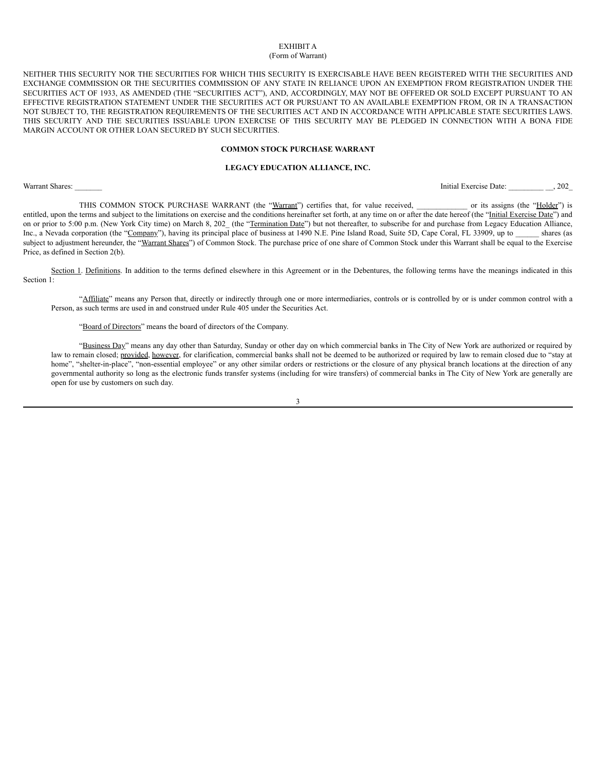### EXHIBIT A (Form of Warrant)

NEITHER THIS SECURITY NOR THE SECURITIES FOR WHICH THIS SECURITY IS EXERCISABLE HAVE BEEN REGISTERED WITH THE SECURITIES AND EXCHANGE COMMISSION OR THE SECURITIES COMMISSION OF ANY STATE IN RELIANCE UPON AN EXEMPTION FROM REGISTRATION UNDER THE SECURITIES ACT OF 1933, AS AMENDED (THE "SECURITIES ACT"), AND, ACCORDINGLY, MAY NOT BE OFFERED OR SOLD EXCEPT PURSUANT TO AN EFFECTIVE REGISTRATION STATEMENT UNDER THE SECURITIES ACT OR PURSUANT TO AN AVAILABLE EXEMPTION FROM, OR IN A TRANSACTION NOT SUBJECT TO, THE REGISTRATION REQUIREMENTS OF THE SECURITIES ACT AND IN ACCORDANCE WITH APPLICABLE STATE SECURITIES LAWS. THIS SECURITY AND THE SECURITIES ISSUABLE UPON EXERCISE OF THIS SECURITY MAY BE PLEDGED IN CONNECTION WITH A BONA FIDE MARGIN ACCOUNT OR OTHER LOAN SECURED BY SUCH SECURITIES.

## **COMMON STOCK PURCHASE WARRANT**

# **LEGACY EDUCATION ALLIANCE, INC.**

Warrant Shares: \_\_\_\_\_\_\_ Initial Exercise Date: \_\_\_\_\_\_\_\_\_ \_\_, 202\_

THIS COMMON STOCK PURCHASE WARRANT (the "Warrant") certifies that, for value received, \_\_\_\_\_\_\_\_\_\_\_\_\_\_\_\_\_\_\_ or its assigns (the "Holder") is entitled, upon the terms and subject to the limitations on exercise and the conditions hereinafter set forth, at any time on or after the date hereof (the "Initial Exercise Date") and on or prior to 5:00 p.m. (New York City time) on March 8, 202 (the "Termination Date") but not thereafter, to subscribe for and purchase from Legacy Education Alliance, Inc., a Nevada corporation (the "Company"), having its principal place of business at 1490 N.E. Pine Island Road, Suite 5D, Cape Coral, FL 33909, up to shares (as subject to adjustment hereunder, the "Warrant Shares") of Common Stock. The purchase price of one share of Common Stock under this Warrant shall be equal to the Exercise Price, as defined in Section 2(b).

Section 1. Definitions. In addition to the terms defined elsewhere in this Agreement or in the Debentures, the following terms have the meanings indicated in this Section 1:

"Affiliate" means any Person that, directly or indirectly through one or more intermediaries, controls or is controlled by or is under common control with a Person, as such terms are used in and construed under Rule 405 under the Securities Act.

"Board of Directors" means the board of directors of the Company.

"Business Day" means any day other than Saturday, Sunday or other day on which commercial banks in The City of New York are authorized or required by law to remain closed; provided, however, for clarification, commercial banks shall not be deemed to be authorized or required by law to remain closed due to "stay at home", "shelter-in-place", "non-essential employee" or any other similar orders or restrictions or the closure of any physical branch locations at the direction of any governmental authority so long as the electronic funds transfer systems (including for wire transfers) of commercial banks in The City of New York are generally are open for use by customers on such day.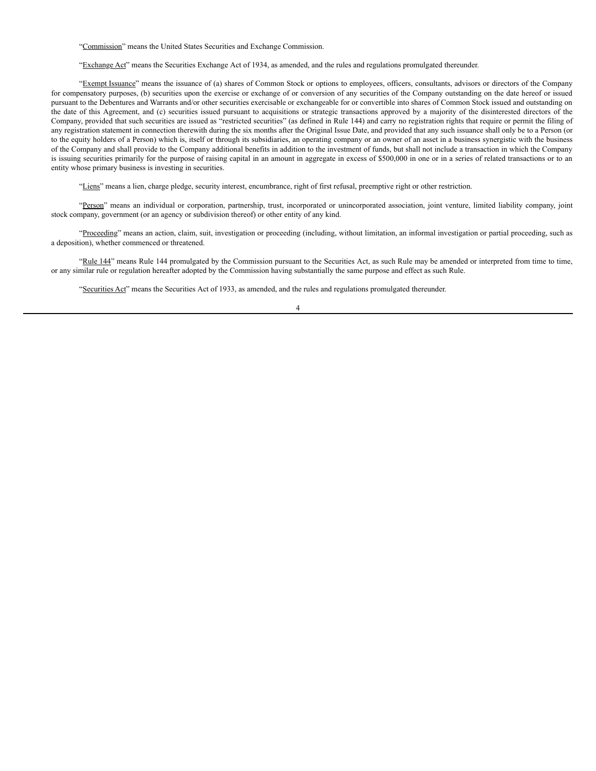"Commission" means the United States Securities and Exchange Commission.

"Exchange Act" means the Securities Exchange Act of 1934, as amended, and the rules and regulations promulgated thereunder.

"Exempt Issuance" means the issuance of (a) shares of Common Stock or options to employees, officers, consultants, advisors or directors of the Company for compensatory purposes, (b) securities upon the exercise or exchange of or conversion of any securities of the Company outstanding on the date hereof or issued pursuant to the Debentures and Warrants and/or other securities exercisable or exchangeable for or convertible into shares of Common Stock issued and outstanding on the date of this Agreement, and (c) securities issued pursuant to acquisitions or strategic transactions approved by a majority of the disinterested directors of the Company, provided that such securities are issued as "restricted securities" (as defined in Rule 144) and carry no registration rights that require or permit the filing of any registration statement in connection therewith during the six months after the Original Issue Date, and provided that any such issuance shall only be to a Person (or to the equity holders of a Person) which is, itself or through its subsidiaries, an operating company or an owner of an asset in a business synergistic with the business of the Company and shall provide to the Company additional benefits in addition to the investment of funds, but shall not include a transaction in which the Company is issuing securities primarily for the purpose of raising capital in an amount in aggregate in excess of \$500,000 in one or in a series of related transactions or to an entity whose primary business is investing in securities.

"Liens" means a lien, charge pledge, security interest, encumbrance, right of first refusal, preemptive right or other restriction.

"Person" means an individual or corporation, partnership, trust, incorporated or unincorporated association, joint venture, limited liability company, joint stock company, government (or an agency or subdivision thereof) or other entity of any kind.

"Proceeding" means an action, claim, suit, investigation or proceeding (including, without limitation, an informal investigation or partial proceeding, such as a deposition), whether commenced or threatened.

"Rule 144" means Rule 144 promulgated by the Commission pursuant to the Securities Act, as such Rule may be amended or interpreted from time to time, or any similar rule or regulation hereafter adopted by the Commission having substantially the same purpose and effect as such Rule.

"Securities Act" means the Securities Act of 1933, as amended, and the rules and regulations promulgated thereunder.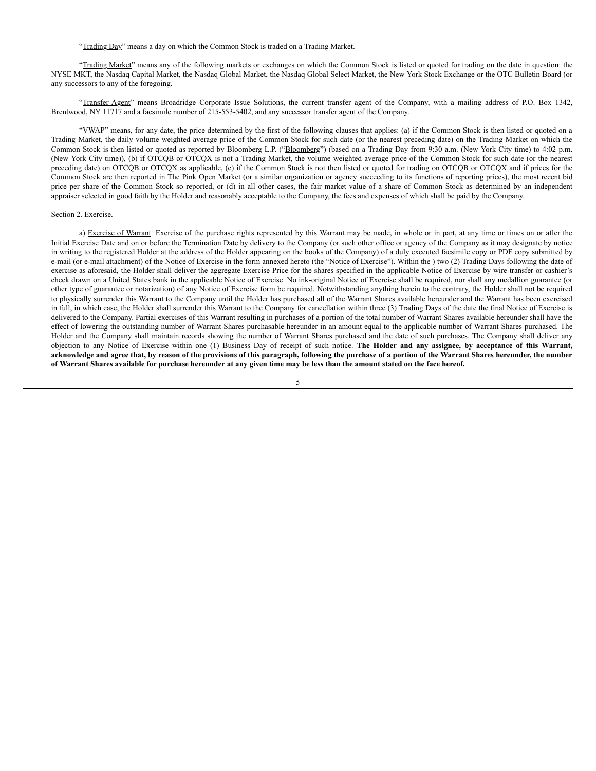"Trading Day" means a day on which the Common Stock is traded on a Trading Market.

"Trading Market" means any of the following markets or exchanges on which the Common Stock is listed or quoted for trading on the date in question: the NYSE MKT, the Nasdaq Capital Market, the Nasdaq Global Market, the Nasdaq Global Select Market, the New York Stock Exchange or the OTC Bulletin Board (or any successors to any of the foregoing.

"Transfer Agent" means Broadridge Corporate Issue Solutions, the current transfer agent of the Company, with a mailing address of P.O. Box 1342, Brentwood, NY 11717 and a facsimile number of 215-553-5402, and any successor transfer agent of the Company.

"VWAP" means, for any date, the price determined by the first of the following clauses that applies: (a) if the Common Stock is then listed or quoted on a Trading Market, the daily volume weighted average price of the Common Stock for such date (or the nearest preceding date) on the Trading Market on which the Common Stock is then listed or quoted as reported by Bloomberg L.P. ("Bloomberg") (based on a Trading Day from 9:30 a.m. (New York City time) to 4:02 p.m. (New York City time)), (b) if OTCQB or OTCQX is not a Trading Market, the volume weighted average price of the Common Stock for such date (or the nearest preceding date) on OTCQB or OTCQX as applicable, (c) if the Common Stock is not then listed or quoted for trading on OTCQB or OTCQX and if prices for the Common Stock are then reported in The Pink Open Market (or a similar organization or agency succeeding to its functions of reporting prices), the most recent bid price per share of the Common Stock so reported, or (d) in all other cases, the fair market value of a share of Common Stock as determined by an independent appraiser selected in good faith by the Holder and reasonably acceptable to the Company, the fees and expenses of which shall be paid by the Company.

### Section 2. Exercise.

a) Exercise of Warrant. Exercise of the purchase rights represented by this Warrant may be made, in whole or in part, at any time or times on or after the Initial Exercise Date and on or before the Termination Date by delivery to the Company (or such other office or agency of the Company as it may designate by notice in writing to the registered Holder at the address of the Holder appearing on the books of the Company) of a duly executed facsimile copy or PDF copy submitted by e-mail (or e-mail attachment) of the Notice of Exercise in the form annexed hereto (the "Notice of Exercise"). Within the ) two (2) Trading Days following the date of exercise as aforesaid, the Holder shall deliver the aggregate Exercise Price for the shares specified in the applicable Notice of Exercise by wire transfer or cashier's check drawn on a United States bank in the applicable Notice of Exercise. No ink-original Notice of Exercise shall be required, nor shall any medallion guarantee (or other type of guarantee or notarization) of any Notice of Exercise form be required. Notwithstanding anything herein to the contrary, the Holder shall not be required to physically surrender this Warrant to the Company until the Holder has purchased all of the Warrant Shares available hereunder and the Warrant has been exercised in full, in which case, the Holder shall surrender this Warrant to the Company for cancellation within three (3) Trading Days of the date the final Notice of Exercise is delivered to the Company. Partial exercises of this Warrant resulting in purchases of a portion of the total number of Warrant Shares available hereunder shall have the effect of lowering the outstanding number of Warrant Shares purchasable hereunder in an amount equal to the applicable number of Warrant Shares purchased. The Holder and the Company shall maintain records showing the number of Warrant Shares purchased and the date of such purchases. The Company shall deliver any objection to any Notice of Exercise within one (1) Business Day of receipt of such notice. **The Holder and any assignee, by acceptance of this Warrant,** acknowledge and agree that, by reason of the provisions of this paragraph, following the purchase of a portion of the Warrant Shares hereunder, the number of Warrant Shares available for purchase hereunder at any given time may be less than the amount stated on the face hereof.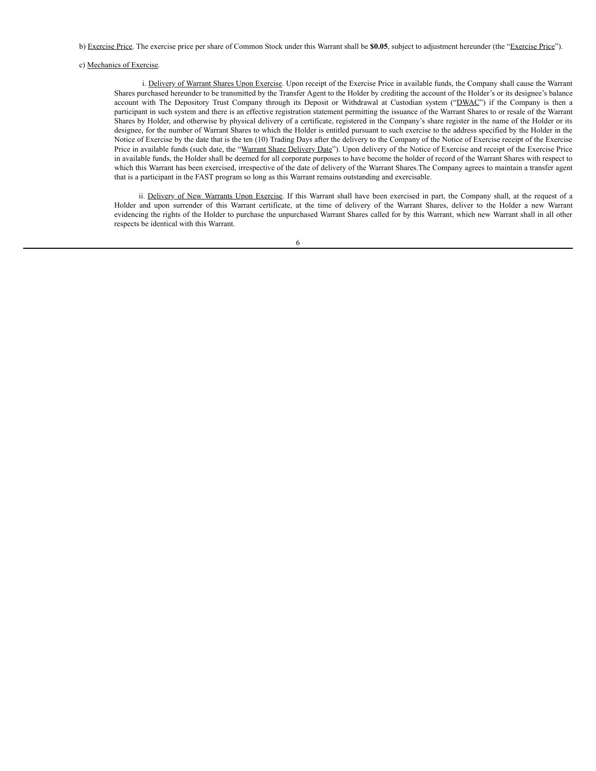b) Exercise Price. The exercise price per share of Common Stock under this Warrant shall be **\$0.05**, subject to adjustment hereunder (the "Exercise Price").

### c) Mechanics of Exercise.

i. Delivery of Warrant Shares Upon Exercise. Upon receipt of the Exercise Price in available funds, the Company shall cause the Warrant Shares purchased hereunder to be transmitted by the Transfer Agent to the Holder by crediting the account of the Holder's or its designee's balance account with The Depository Trust Company through its Deposit or Withdrawal at Custodian system ("DWAC") if the Company is then a participant in such system and there is an effective registration statement permitting the issuance of the Warrant Shares to or resale of the Warrant Shares by Holder, and otherwise by physical delivery of a certificate, registered in the Company's share register in the name of the Holder or its designee, for the number of Warrant Shares to which the Holder is entitled pursuant to such exercise to the address specified by the Holder in the Notice of Exercise by the date that is the ten (10) Trading Days after the delivery to the Company of the Notice of Exercise receipt of the Exercise Price in available funds (such date, the "Warrant Share Delivery Date"). Upon delivery of the Notice of Exercise and receipt of the Exercise Price in available funds, the Holder shall be deemed for all corporate purposes to have become the holder of record of the Warrant Shares with respect to which this Warrant has been exercised, irrespective of the date of delivery of the Warrant Shares.The Company agrees to maintain a transfer agent that is a participant in the FAST program so long as this Warrant remains outstanding and exercisable.

ii. Delivery of New Warrants Upon Exercise. If this Warrant shall have been exercised in part, the Company shall, at the request of a Holder and upon surrender of this Warrant certificate, at the time of delivery of the Warrant Shares, deliver to the Holder a new Warrant evidencing the rights of the Holder to purchase the unpurchased Warrant Shares called for by this Warrant, which new Warrant shall in all other respects be identical with this Warrant.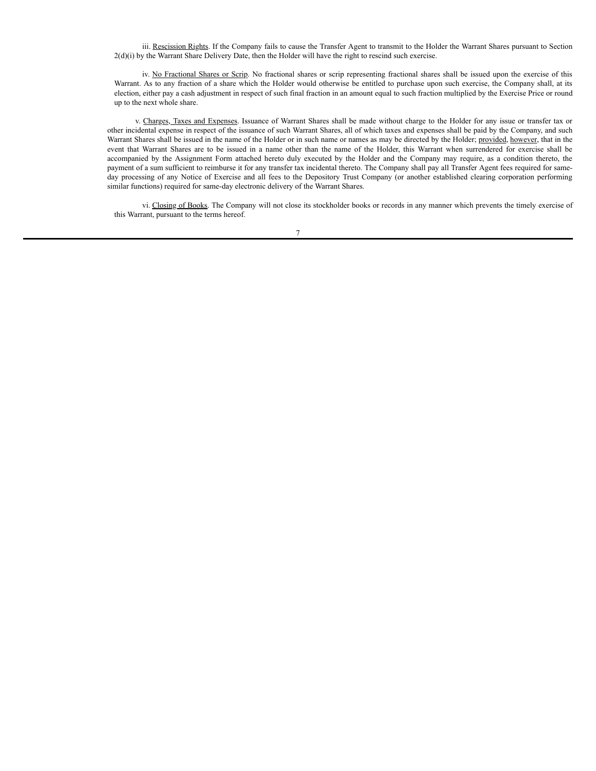iii. Rescission Rights. If the Company fails to cause the Transfer Agent to transmit to the Holder the Warrant Shares pursuant to Section 2(d)(i) by the Warrant Share Delivery Date, then the Holder will have the right to rescind such exercise.

iv. No Fractional Shares or Scrip. No fractional shares or scrip representing fractional shares shall be issued upon the exercise of this Warrant. As to any fraction of a share which the Holder would otherwise be entitled to purchase upon such exercise, the Company shall, at its election, either pay a cash adjustment in respect of such final fraction in an amount equal to such fraction multiplied by the Exercise Price or round up to the next whole share.

v. Charges, Taxes and Expenses. Issuance of Warrant Shares shall be made without charge to the Holder for any issue or transfer tax or other incidental expense in respect of the issuance of such Warrant Shares, all of which taxes and expenses shall be paid by the Company, and such Warrant Shares shall be issued in the name of the Holder or in such name or names as may be directed by the Holder; provided, however, that in the event that Warrant Shares are to be issued in a name other than the name of the Holder, this Warrant when surrendered for exercise shall be accompanied by the Assignment Form attached hereto duly executed by the Holder and the Company may require, as a condition thereto, the payment of a sum sufficient to reimburse it for any transfer tax incidental thereto. The Company shall pay all Transfer Agent fees required for sameday processing of any Notice of Exercise and all fees to the Depository Trust Company (or another established clearing corporation performing similar functions) required for same-day electronic delivery of the Warrant Shares.

vi. Closing of Books. The Company will not close its stockholder books or records in any manner which prevents the timely exercise of this Warrant, pursuant to the terms hereof.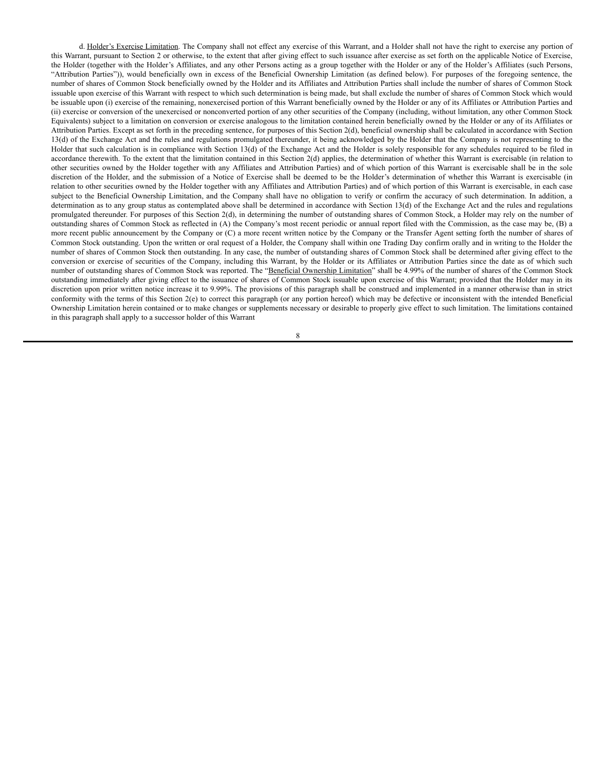d. Holder's Exercise Limitation. The Company shall not effect any exercise of this Warrant, and a Holder shall not have the right to exercise any portion of this Warrant, pursuant to Section 2 or otherwise, to the extent that after giving effect to such issuance after exercise as set forth on the applicable Notice of Exercise, the Holder (together with the Holder's Affiliates, and any other Persons acting as a group together with the Holder or any of the Holder's Affiliates (such Persons, "Attribution Parties")), would beneficially own in excess of the Beneficial Ownership Limitation (as defined below). For purposes of the foregoing sentence, the number of shares of Common Stock beneficially owned by the Holder and its Affiliates and Attribution Parties shall include the number of shares of Common Stock issuable upon exercise of this Warrant with respect to which such determination is being made, but shall exclude the number of shares of Common Stock which would be issuable upon (i) exercise of the remaining, nonexercised portion of this Warrant beneficially owned by the Holder or any of its Affiliates or Attribution Parties and (ii) exercise or conversion of the unexercised or nonconverted portion of any other securities of the Company (including, without limitation, any other Common Stock Equivalents) subject to a limitation on conversion or exercise analogous to the limitation contained herein beneficially owned by the Holder or any of its Affiliates or Attribution Parties. Except as set forth in the preceding sentence, for purposes of this Section 2(d), beneficial ownership shall be calculated in accordance with Section 13(d) of the Exchange Act and the rules and regulations promulgated thereunder, it being acknowledged by the Holder that the Company is not representing to the Holder that such calculation is in compliance with Section 13(d) of the Exchange Act and the Holder is solely responsible for any schedules required to be filed in accordance therewith. To the extent that the limitation contained in this Section 2(d) applies, the determination of whether this Warrant is exercisable (in relation to other securities owned by the Holder together with any Affiliates and Attribution Parties) and of which portion of this Warrant is exercisable shall be in the sole discretion of the Holder, and the submission of a Notice of Exercise shall be deemed to be the Holder's determination of whether this Warrant is exercisable (in relation to other securities owned by the Holder together with any Affiliates and Attribution Parties) and of which portion of this Warrant is exercisable, in each case subject to the Beneficial Ownership Limitation, and the Company shall have no obligation to verify or confirm the accuracy of such determination. In addition, a determination as to any group status as contemplated above shall be determined in accordance with Section 13(d) of the Exchange Act and the rules and regulations promulgated thereunder. For purposes of this Section 2(d), in determining the number of outstanding shares of Common Stock, a Holder may rely on the number of outstanding shares of Common Stock as reflected in (A) the Company's most recent periodic or annual report filed with the Commission, as the case may be, (B) a more recent public announcement by the Company or (C) a more recent written notice by the Company or the Transfer Agent setting forth the number of shares of Common Stock outstanding. Upon the written or oral request of a Holder, the Company shall within one Trading Day confirm orally and in writing to the Holder the number of shares of Common Stock then outstanding. In any case, the number of outstanding shares of Common Stock shall be determined after giving effect to the conversion or exercise of securities of the Company, including this Warrant, by the Holder or its Affiliates or Attribution Parties since the date as of which such number of outstanding shares of Common Stock was reported. The "Beneficial Ownership Limitation" shall be 4.99% of the number of shares of the Common Stock outstanding immediately after giving effect to the issuance of shares of Common Stock issuable upon exercise of this Warrant; provided that the Holder may in its discretion upon prior written notice increase it to 9.99%. The provisions of this paragraph shall be construed and implemented in a manner otherwise than in strict conformity with the terms of this Section 2(e) to correct this paragraph (or any portion hereof) which may be defective or inconsistent with the intended Beneficial Ownership Limitation herein contained or to make changes or supplements necessary or desirable to properly give effect to such limitation. The limitations contained in this paragraph shall apply to a successor holder of this Warrant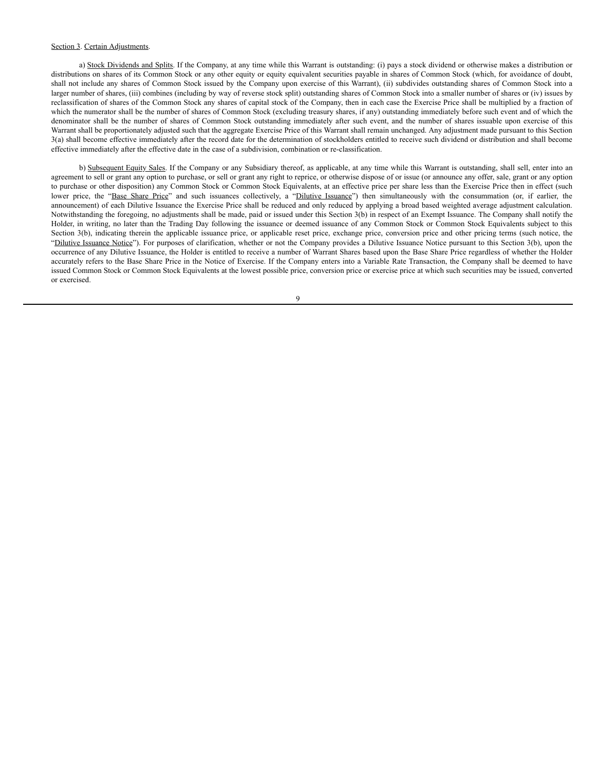### Section 3. Certain Adjustments.

a) Stock Dividends and Splits. If the Company, at any time while this Warrant is outstanding: (i) pays a stock dividend or otherwise makes a distribution or distributions on shares of its Common Stock or any other equity or equity equivalent securities payable in shares of Common Stock (which, for avoidance of doubt, shall not include any shares of Common Stock issued by the Company upon exercise of this Warrant), (ii) subdivides outstanding shares of Common Stock into a larger number of shares, (iii) combines (including by way of reverse stock split) outstanding shares of Common Stock into a smaller number of shares or (iv) issues by reclassification of shares of the Common Stock any shares of capital stock of the Company, then in each case the Exercise Price shall be multiplied by a fraction of which the numerator shall be the number of shares of Common Stock (excluding treasury shares, if any) outstanding immediately before such event and of which the denominator shall be the number of shares of Common Stock outstanding immediately after such event, and the number of shares issuable upon exercise of this Warrant shall be proportionately adjusted such that the aggregate Exercise Price of this Warrant shall remain unchanged. Any adjustment made pursuant to this Section 3(a) shall become effective immediately after the record date for the determination of stockholders entitled to receive such dividend or distribution and shall become effective immediately after the effective date in the case of a subdivision, combination or re-classification.

b) Subsequent Equity Sales. If the Company or any Subsidiary thereof, as applicable, at any time while this Warrant is outstanding, shall sell, enter into an agreement to sell or grant any option to purchase, or sell or grant any right to reprice, or otherwise dispose of or issue (or announce any offer, sale, grant or any option to purchase or other disposition) any Common Stock or Common Stock Equivalents, at an effective price per share less than the Exercise Price then in effect (such lower price, the "Base Share Price" and such issuances collectively, a "Dilutive Issuance") then simultaneously with the consummation (or, if earlier, the announcement) of each Dilutive Issuance the Exercise Price shall be reduced and only reduced by applying a broad based weighted average adjustment calculation. Notwithstanding the foregoing, no adjustments shall be made, paid or issued under this Section 3(b) in respect of an Exempt Issuance. The Company shall notify the Holder, in writing, no later than the Trading Day following the issuance or deemed issuance of any Common Stock or Common Stock Equivalents subject to this Section 3(b), indicating therein the applicable issuance price, or applicable reset price, exchange price, conversion price and other pricing terms (such notice, the "Dilutive Issuance Notice"). For purposes of clarification, whether or not the Company provides a Dilutive Issuance Notice pursuant to this Section 3(b), upon the occurrence of any Dilutive Issuance, the Holder is entitled to receive a number of Warrant Shares based upon the Base Share Price regardless of whether the Holder accurately refers to the Base Share Price in the Notice of Exercise. If the Company enters into a Variable Rate Transaction, the Company shall be deemed to have issued Common Stock or Common Stock Equivalents at the lowest possible price, conversion price or exercise price at which such securities may be issued, converted or exercised.

 $\overline{Q}$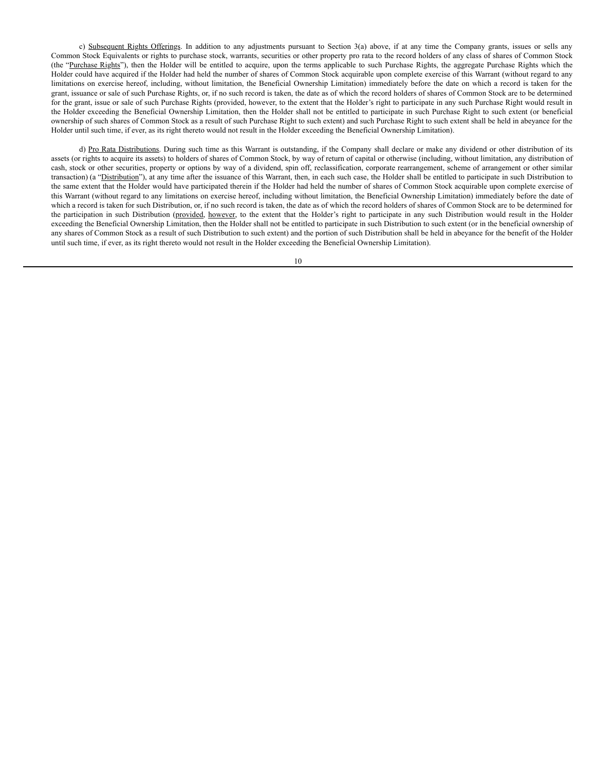c) Subsequent Rights Offerings. In addition to any adjustments pursuant to Section 3(a) above, if at any time the Company grants, issues or sells any Common Stock Equivalents or rights to purchase stock, warrants, securities or other property pro rata to the record holders of any class of shares of Common Stock (the "Purchase Rights"), then the Holder will be entitled to acquire, upon the terms applicable to such Purchase Rights, the aggregate Purchase Rights which the Holder could have acquired if the Holder had held the number of shares of Common Stock acquirable upon complete exercise of this Warrant (without regard to any limitations on exercise hereof, including, without limitation, the Beneficial Ownership Limitation) immediately before the date on which a record is taken for the grant, issuance or sale of such Purchase Rights, or, if no such record is taken, the date as of which the record holders of shares of Common Stock are to be determined for the grant, issue or sale of such Purchase Rights (provided, however, to the extent that the Holder's right to participate in any such Purchase Right would result in the Holder exceeding the Beneficial Ownership Limitation, then the Holder shall not be entitled to participate in such Purchase Right to such extent (or beneficial ownership of such shares of Common Stock as a result of such Purchase Right to such extent) and such Purchase Right to such extent shall be held in abeyance for the Holder until such time, if ever, as its right thereto would not result in the Holder exceeding the Beneficial Ownership Limitation).

d) Pro Rata Distributions. During such time as this Warrant is outstanding, if the Company shall declare or make any dividend or other distribution of its assets (or rights to acquire its assets) to holders of shares of Common Stock, by way of return of capital or otherwise (including, without limitation, any distribution of cash, stock or other securities, property or options by way of a dividend, spin off, reclassification, corporate rearrangement, scheme of arrangement or other similar transaction) (a "Distribution"), at any time after the issuance of this Warrant, then, in each such case, the Holder shall be entitled to participate in such Distribution to the same extent that the Holder would have participated therein if the Holder had held the number of shares of Common Stock acquirable upon complete exercise of this Warrant (without regard to any limitations on exercise hereof, including without limitation, the Beneficial Ownership Limitation) immediately before the date of which a record is taken for such Distribution, or, if no such record is taken, the date as of which the record holders of shares of Common Stock are to be determined for the participation in such Distribution (provided, however, to the extent that the Holder's right to participate in any such Distribution would result in the Holder exceeding the Beneficial Ownership Limitation, then the Holder shall not be entitled to participate in such Distribution to such extent (or in the beneficial ownership of any shares of Common Stock as a result of such Distribution to such extent) and the portion of such Distribution shall be held in abeyance for the benefit of the Holder until such time, if ever, as its right thereto would not result in the Holder exceeding the Beneficial Ownership Limitation).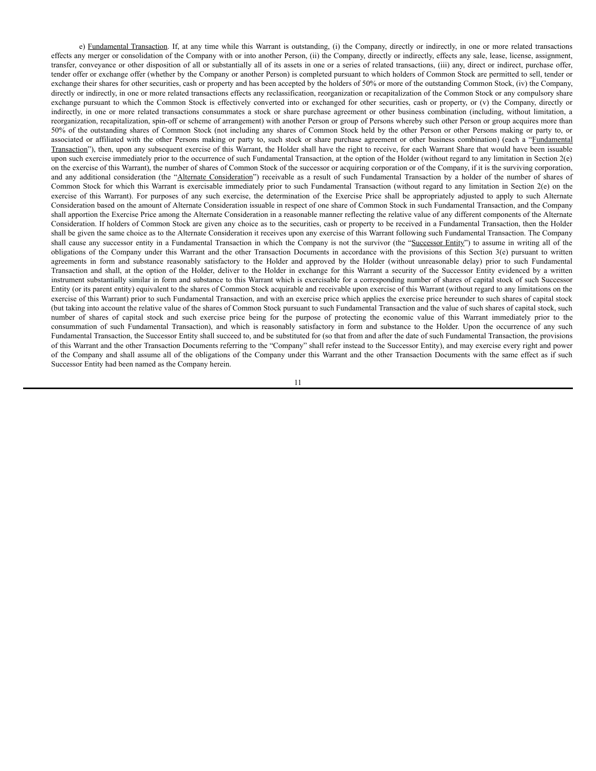e) Fundamental Transaction. If, at any time while this Warrant is outstanding, (i) the Company, directly or indirectly, in one or more related transactions effects any merger or consolidation of the Company with or into another Person, (ii) the Company, directly or indirectly, effects any sale, lease, license, assignment, transfer, conveyance or other disposition of all or substantially all of its assets in one or a series of related transactions, (iii) any, direct or indirect, purchase offer, tender offer or exchange offer (whether by the Company or another Person) is completed pursuant to which holders of Common Stock are permitted to sell, tender or exchange their shares for other securities, cash or property and has been accepted by the holders of 50% or more of the outstanding Common Stock, (iv) the Company, directly or indirectly, in one or more related transactions effects any reclassification, reorganization or recapitalization of the Common Stock or any compulsory share exchange pursuant to which the Common Stock is effectively converted into or exchanged for other securities, cash or property, or (v) the Company, directly or indirectly, in one or more related transactions consummates a stock or share purchase agreement or other business combination (including, without limitation, a reorganization, recapitalization, spin-off or scheme of arrangement) with another Person or group of Persons whereby such other Person or group acquires more than 50% of the outstanding shares of Common Stock (not including any shares of Common Stock held by the other Person or other Persons making or party to, or associated or affiliated with the other Persons making or party to, such stock or share purchase agreement or other business combination) (each a "Fundamental Transaction"), then, upon any subsequent exercise of this Warrant, the Holder shall have the right to receive, for each Warrant Share that would have been issuable upon such exercise immediately prior to the occurrence of such Fundamental Transaction, at the option of the Holder (without regard to any limitation in Section 2(e) on the exercise of this Warrant), the number of shares of Common Stock of the successor or acquiring corporation or of the Company, if it is the surviving corporation, and any additional consideration (the "Alternate Consideration") receivable as a result of such Fundamental Transaction by a holder of the number of shares of Common Stock for which this Warrant is exercisable immediately prior to such Fundamental Transaction (without regard to any limitation in Section 2(e) on the exercise of this Warrant). For purposes of any such exercise, the determination of the Exercise Price shall be appropriately adjusted to apply to such Alternate Consideration based on the amount of Alternate Consideration issuable in respect of one share of Common Stock in such Fundamental Transaction, and the Company shall apportion the Exercise Price among the Alternate Consideration in a reasonable manner reflecting the relative value of any different components of the Alternate Consideration. If holders of Common Stock are given any choice as to the securities, cash or property to be received in a Fundamental Transaction, then the Holder shall be given the same choice as to the Alternate Consideration it receives upon any exercise of this Warrant following such Fundamental Transaction. The Company shall cause any successor entity in a Fundamental Transaction in which the Company is not the survivor (the "Successor Entity") to assume in writing all of the obligations of the Company under this Warrant and the other Transaction Documents in accordance with the provisions of this Section 3(e) pursuant to written agreements in form and substance reasonably satisfactory to the Holder and approved by the Holder (without unreasonable delay) prior to such Fundamental Transaction and shall, at the option of the Holder, deliver to the Holder in exchange for this Warrant a security of the Successor Entity evidenced by a written instrument substantially similar in form and substance to this Warrant which is exercisable for a corresponding number of shares of capital stock of such Successor Entity (or its parent entity) equivalent to the shares of Common Stock acquirable and receivable upon exercise of this Warrant (without regard to any limitations on the exercise of this Warrant) prior to such Fundamental Transaction, and with an exercise price which applies the exercise price hereunder to such shares of capital stock (but taking into account the relative value of the shares of Common Stock pursuant to such Fundamental Transaction and the value of such shares of capital stock, such number of shares of capital stock and such exercise price being for the purpose of protecting the economic value of this Warrant immediately prior to the consummation of such Fundamental Transaction), and which is reasonably satisfactory in form and substance to the Holder. Upon the occurrence of any such Fundamental Transaction, the Successor Entity shall succeed to, and be substituted for (so that from and after the date of such Fundamental Transaction, the provisions of this Warrant and the other Transaction Documents referring to the "Company" shall refer instead to the Successor Entity), and may exercise every right and power of the Company and shall assume all of the obligations of the Company under this Warrant and the other Transaction Documents with the same effect as if such Successor Entity had been named as the Company herein.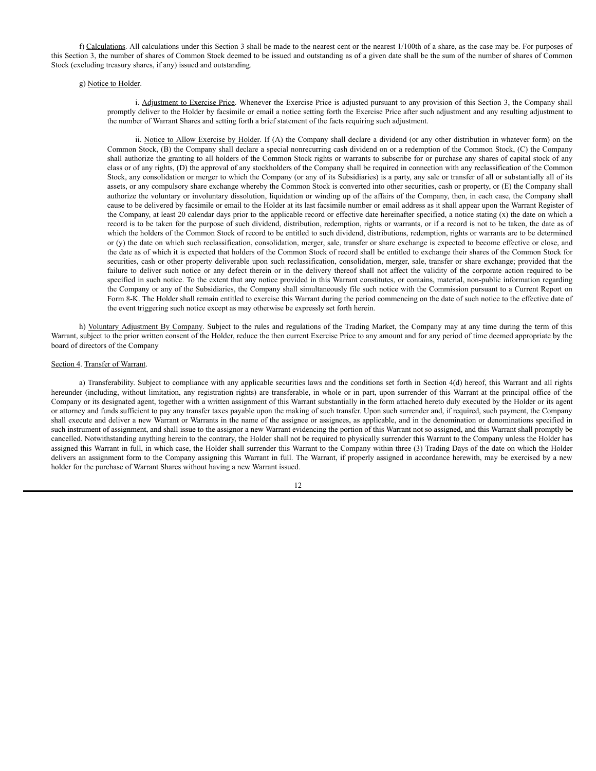f) Calculations. All calculations under this Section 3 shall be made to the nearest cent or the nearest  $1/100$ th of a share, as the case may be. For purposes of this Section 3, the number of shares of Common Stock deemed to be issued and outstanding as of a given date shall be the sum of the number of shares of Common Stock (excluding treasury shares, if any) issued and outstanding.

### g) Notice to Holder.

i. Adjustment to Exercise Price. Whenever the Exercise Price is adjusted pursuant to any provision of this Section 3, the Company shall promptly deliver to the Holder by facsimile or email a notice setting forth the Exercise Price after such adjustment and any resulting adjustment to the number of Warrant Shares and setting forth a brief statement of the facts requiring such adjustment.

ii. Notice to Allow Exercise by Holder. If (A) the Company shall declare a dividend (or any other distribution in whatever form) on the Common Stock, (B) the Company shall declare a special nonrecurring cash dividend on or a redemption of the Common Stock, (C) the Company shall authorize the granting to all holders of the Common Stock rights or warrants to subscribe for or purchase any shares of capital stock of any class or of any rights, (D) the approval of any stockholders of the Company shall be required in connection with any reclassification of the Common Stock, any consolidation or merger to which the Company (or any of its Subsidiaries) is a party, any sale or transfer of all or substantially all of its assets, or any compulsory share exchange whereby the Common Stock is converted into other securities, cash or property, or (E) the Company shall authorize the voluntary or involuntary dissolution, liquidation or winding up of the affairs of the Company, then, in each case, the Company shall cause to be delivered by facsimile or email to the Holder at its last facsimile number or email address as it shall appear upon the Warrant Register of the Company, at least 20 calendar days prior to the applicable record or effective date hereinafter specified, a notice stating (x) the date on which a record is to be taken for the purpose of such dividend, distribution, redemption, rights or warrants, or if a record is not to be taken, the date as of which the holders of the Common Stock of record to be entitled to such dividend, distributions, redemption, rights or warrants are to be determined or (y) the date on which such reclassification, consolidation, merger, sale, transfer or share exchange is expected to become effective or close, and the date as of which it is expected that holders of the Common Stock of record shall be entitled to exchange their shares of the Common Stock for securities, cash or other property deliverable upon such reclassification, consolidation, merger, sale, transfer or share exchange; provided that the failure to deliver such notice or any defect therein or in the delivery thereof shall not affect the validity of the corporate action required to be specified in such notice. To the extent that any notice provided in this Warrant constitutes, or contains, material, non-public information regarding the Company or any of the Subsidiaries, the Company shall simultaneously file such notice with the Commission pursuant to a Current Report on Form 8-K. The Holder shall remain entitled to exercise this Warrant during the period commencing on the date of such notice to the effective date of the event triggering such notice except as may otherwise be expressly set forth herein.

h) Voluntary Adjustment By Company. Subject to the rules and regulations of the Trading Market, the Company may at any time during the term of this Warrant, subject to the prior written consent of the Holder, reduce the then current Exercise Price to any amount and for any period of time deemed appropriate by the board of directors of the Company

### Section 4. Transfer of Warrant.

a) Transferability. Subject to compliance with any applicable securities laws and the conditions set forth in Section 4(d) hereof, this Warrant and all rights hereunder (including, without limitation, any registration rights) are transferable, in whole or in part, upon surrender of this Warrant at the principal office of the Company or its designated agent, together with a written assignment of this Warrant substantially in the form attached hereto duly executed by the Holder or its agent or attorney and funds sufficient to pay any transfer taxes payable upon the making of such transfer. Upon such surrender and, if required, such payment, the Company shall execute and deliver a new Warrant or Warrants in the name of the assignee or assignees, as applicable, and in the denomination or denominations specified in such instrument of assignment, and shall issue to the assignor a new Warrant evidencing the portion of this Warrant not so assigned, and this Warrant shall promptly be cancelled. Notwithstanding anything herein to the contrary, the Holder shall not be required to physically surrender this Warrant to the Company unless the Holder has assigned this Warrant in full, in which case, the Holder shall surrender this Warrant to the Company within three (3) Trading Days of the date on which the Holder delivers an assignment form to the Company assigning this Warrant in full. The Warrant, if properly assigned in accordance herewith, may be exercised by a new holder for the purchase of Warrant Shares without having a new Warrant issued.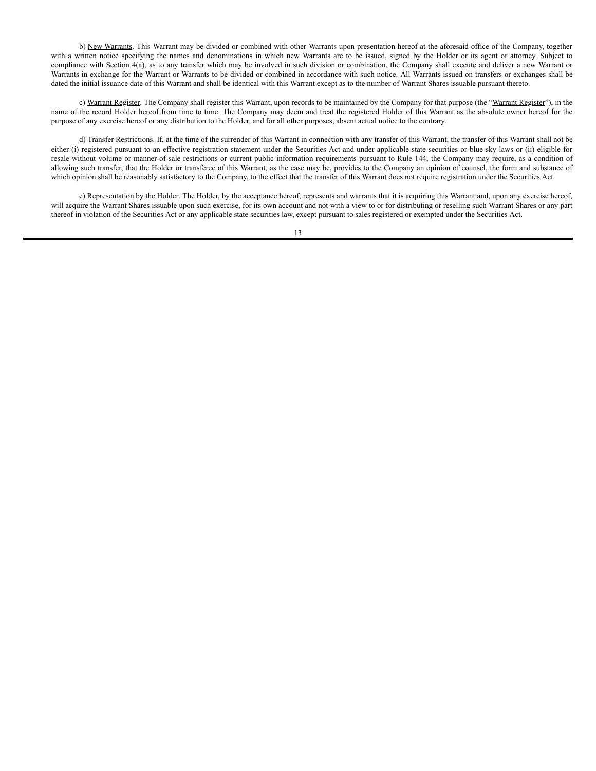b) New Warrants. This Warrant may be divided or combined with other Warrants upon presentation hereof at the aforesaid office of the Company, together with a written notice specifying the names and denominations in which new Warrants are to be issued, signed by the Holder or its agent or attorney. Subject to compliance with Section 4(a), as to any transfer which may be involved in such division or combination, the Company shall execute and deliver a new Warrant or Warrants in exchange for the Warrant or Warrants to be divided or combined in accordance with such notice. All Warrants issued on transfers or exchanges shall be dated the initial issuance date of this Warrant and shall be identical with this Warrant except as to the number of Warrant Shares issuable pursuant thereto.

c) Warrant Register. The Company shall register this Warrant, upon records to be maintained by the Company for that purpose (the "Warrant Register"), in the name of the record Holder hereof from time to time. The Company may deem and treat the registered Holder of this Warrant as the absolute owner hereof for the purpose of any exercise hereof or any distribution to the Holder, and for all other purposes, absent actual notice to the contrary.

d) Transfer Restrictions. If, at the time of the surrender of this Warrant in connection with any transfer of this Warrant, the transfer of this Warrant shall not be either (i) registered pursuant to an effective registration statement under the Securities Act and under applicable state securities or blue sky laws or (ii) eligible for resale without volume or manner-of-sale restrictions or current public information requirements pursuant to Rule 144, the Company may require, as a condition of allowing such transfer, that the Holder or transferee of this Warrant, as the case may be, provides to the Company an opinion of counsel, the form and substance of which opinion shall be reasonably satisfactory to the Company, to the effect that the transfer of this Warrant does not require registration under the Securities Act.

e) Representation by the Holder. The Holder, by the acceptance hereof, represents and warrants that it is acquiring this Warrant and, upon any exercise hereof, will acquire the Warrant Shares issuable upon such exercise, for its own account and not with a view to or for distributing or reselling such Warrant Shares or any part thereof in violation of the Securities Act or any applicable state securities law, except pursuant to sales registered or exempted under the Securities Act.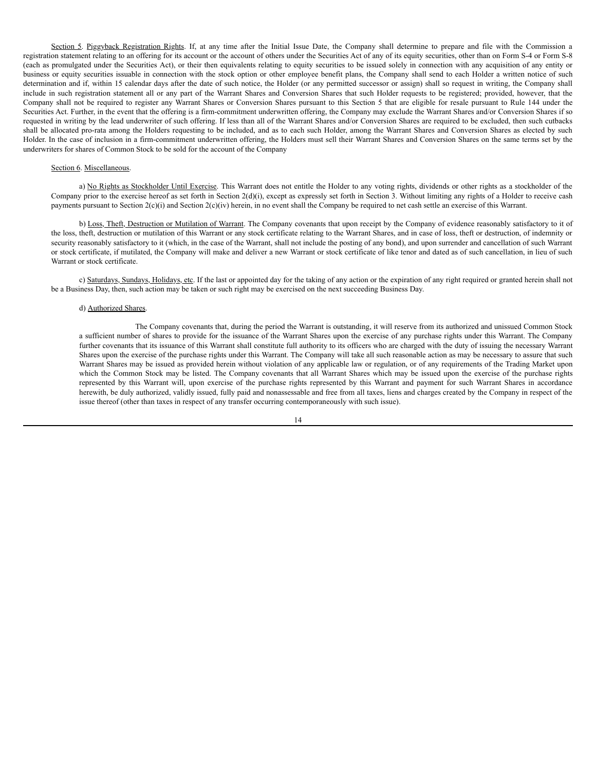Section 5. Piggyback Registration Rights. If, at any time after the Initial Issue Date, the Company shall determine to prepare and file with the Commission a registration statement relating to an offering for its account or the account of others under the Securities Act of any of its equity securities, other than on Form S-4 or Form S-8 (each as promulgated under the Securities Act), or their then equivalents relating to equity securities to be issued solely in connection with any acquisition of any entity or business or equity securities issuable in connection with the stock option or other employee benefit plans, the Company shall send to each Holder a written notice of such determination and if, within 15 calendar days after the date of such notice, the Holder (or any permitted successor or assign) shall so request in writing, the Company shall include in such registration statement all or any part of the Warrant Shares and Conversion Shares that such Holder requests to be registered; provided, however, that the Company shall not be required to register any Warrant Shares or Conversion Shares pursuant to this Section 5 that are eligible for resale pursuant to Rule 144 under the Securities Act. Further, in the event that the offering is a firm-commitment underwritten offering, the Company may exclude the Warrant Shares and/or Conversion Shares if so requested in writing by the lead underwriter of such offering. If less than all of the Warrant Shares and/or Conversion Shares are required to be excluded, then such cutbacks shall be allocated pro-rata among the Holders requesting to be included, and as to each such Holder, among the Warrant Shares and Conversion Shares as elected by such Holder. In the case of inclusion in a firm-commitment underwritten offering, the Holders must sell their Warrant Shares and Conversion Shares on the same terms set by the underwriters for shares of Common Stock to be sold for the account of the Company

### Section 6. Miscellaneous.

a) No Rights as Stockholder Until Exercise. This Warrant does not entitle the Holder to any voting rights, dividends or other rights as a stockholder of the Company prior to the exercise hereof as set forth in Section  $2(d)(i)$ , except as expressly set forth in Section 3. Without limiting any rights of a Holder to receive cash payments pursuant to Section  $2(c)(i)$  and Section  $2(c)(iv)$  herein, in no event shall the Company be required to net cash settle an exercise of this Warrant.

b) Loss, Theft, Destruction or Mutilation of Warrant. The Company covenants that upon receipt by the Company of evidence reasonably satisfactory to it of the loss, theft, destruction or mutilation of this Warrant or any stock certificate relating to the Warrant Shares, and in case of loss, theft or destruction, of indemnity or security reasonably satisfactory to it (which, in the case of the Warrant, shall not include the posting of any bond), and upon surrender and cancellation of such Warrant or stock certificate, if mutilated, the Company will make and deliver a new Warrant or stock certificate of like tenor and dated as of such cancellation, in lieu of such Warrant or stock certificate.

c) Saturdays, Sundays, Holidays, etc. If the last or appointed day for the taking of any action or the expiration of any right required or granted herein shall not be a Business Day, then, such action may be taken or such right may be exercised on the next succeeding Business Day.

### d) Authorized Shares.

The Company covenants that, during the period the Warrant is outstanding, it will reserve from its authorized and unissued Common Stock a sufficient number of shares to provide for the issuance of the Warrant Shares upon the exercise of any purchase rights under this Warrant. The Company further covenants that its issuance of this Warrant shall constitute full authority to its officers who are charged with the duty of issuing the necessary Warrant Shares upon the exercise of the purchase rights under this Warrant. The Company will take all such reasonable action as may be necessary to assure that such Warrant Shares may be issued as provided herein without violation of any applicable law or regulation, or of any requirements of the Trading Market upon which the Common Stock may be listed. The Company covenants that all Warrant Shares which may be issued upon the exercise of the purchase rights represented by this Warrant will, upon exercise of the purchase rights represented by this Warrant and payment for such Warrant Shares in accordance herewith, be duly authorized, validly issued, fully paid and nonassessable and free from all taxes, liens and charges created by the Company in respect of the issue thereof (other than taxes in respect of any transfer occurring contemporaneously with such issue).

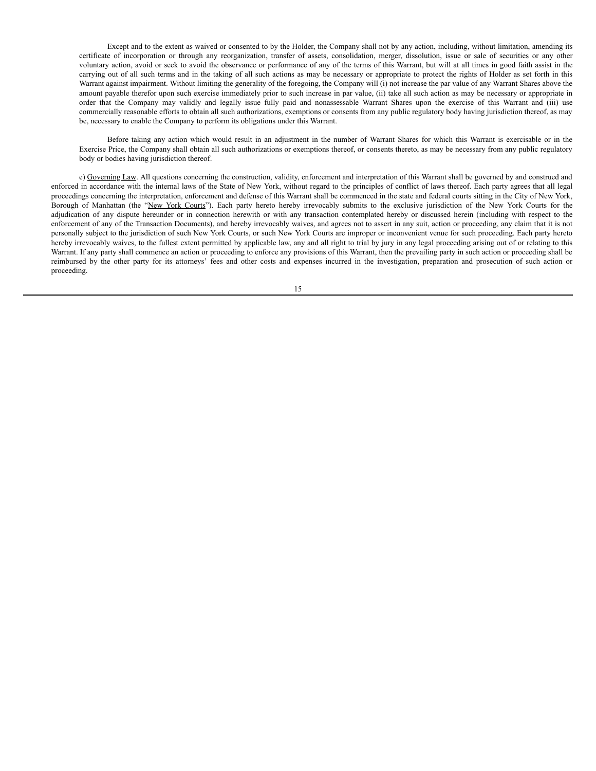Except and to the extent as waived or consented to by the Holder, the Company shall not by any action, including, without limitation, amending its certificate of incorporation or through any reorganization, transfer of assets, consolidation, merger, dissolution, issue or sale of securities or any other voluntary action, avoid or seek to avoid the observance or performance of any of the terms of this Warrant, but will at all times in good faith assist in the carrying out of all such terms and in the taking of all such actions as may be necessary or appropriate to protect the rights of Holder as set forth in this Warrant against impairment. Without limiting the generality of the foregoing, the Company will (i) not increase the par value of any Warrant Shares above the amount payable therefor upon such exercise immediately prior to such increase in par value, (ii) take all such action as may be necessary or appropriate in order that the Company may validly and legally issue fully paid and nonassessable Warrant Shares upon the exercise of this Warrant and (iii) use commercially reasonable efforts to obtain all such authorizations, exemptions or consents from any public regulatory body having jurisdiction thereof, as may be, necessary to enable the Company to perform its obligations under this Warrant.

Before taking any action which would result in an adjustment in the number of Warrant Shares for which this Warrant is exercisable or in the Exercise Price, the Company shall obtain all such authorizations or exemptions thereof, or consents thereto, as may be necessary from any public regulatory body or bodies having jurisdiction thereof.

e) Governing Law. All questions concerning the construction, validity, enforcement and interpretation of this Warrant shall be governed by and construed and enforced in accordance with the internal laws of the State of New York, without regard to the principles of conflict of laws thereof. Each party agrees that all legal proceedings concerning the interpretation, enforcement and defense of this Warrant shall be commenced in the state and federal courts sitting in the City of New York, Borough of Manhattan (the "New York Courts"). Each party hereto hereby irrevocably submits to the exclusive jurisdiction of the New York Courts for the adjudication of any dispute hereunder or in connection herewith or with any transaction contemplated hereby or discussed herein (including with respect to the enforcement of any of the Transaction Documents), and hereby irrevocably waives, and agrees not to assert in any suit, action or proceeding, any claim that it is not personally subject to the jurisdiction of such New York Courts, or such New York Courts are improper or inconvenient venue for such proceeding. Each party hereto hereby irrevocably waives, to the fullest extent permitted by applicable law, any and all right to trial by jury in any legal proceeding arising out of or relating to this Warrant. If any party shall commence an action or proceeding to enforce any provisions of this Warrant, then the prevailing party in such action or proceeding shall be reimbursed by the other party for its attorneys' fees and other costs and expenses incurred in the investigation, preparation and prosecution of such action or proceeding.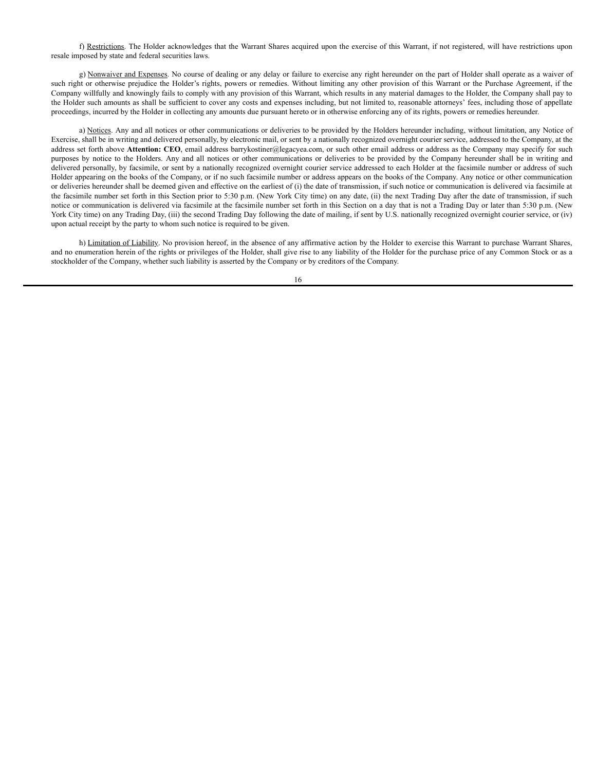f) Restrictions. The Holder acknowledges that the Warrant Shares acquired upon the exercise of this Warrant, if not registered, will have restrictions upon resale imposed by state and federal securities laws.

g) Nonwaiver and Expenses. No course of dealing or any delay or failure to exercise any right hereunder on the part of Holder shall operate as a waiver of such right or otherwise prejudice the Holder's rights, powers or remedies. Without limiting any other provision of this Warrant or the Purchase Agreement, if the Company willfully and knowingly fails to comply with any provision of this Warrant, which results in any material damages to the Holder, the Company shall pay to the Holder such amounts as shall be sufficient to cover any costs and expenses including, but not limited to, reasonable attorneys' fees, including those of appellate proceedings, incurred by the Holder in collecting any amounts due pursuant hereto or in otherwise enforcing any of its rights, powers or remedies hereunder.

a) Notices. Any and all notices or other communications or deliveries to be provided by the Holders hereunder including, without limitation, any Notice of Exercise, shall be in writing and delivered personally, by electronic mail, or sent by a nationally recognized overnight courier service, addressed to the Company, at the address set forth above **Attention:** CEO, email address barrykostiner@legacyea.com, or such other email address or address as the Company may specify for such purposes by notice to the Holders. Any and all notices or other communications or deliveries to be provided by the Company hereunder shall be in writing and delivered personally, by facsimile, or sent by a nationally recognized overnight courier service addressed to each Holder at the facsimile number or address of such Holder appearing on the books of the Company, or if no such facsimile number or address appears on the books of the Company. Any notice or other communication or deliveries hereunder shall be deemed given and effective on the earliest of (i) the date of transmission, if such notice or communication is delivered via facsimile at the facsimile number set forth in this Section prior to 5:30 p.m. (New York City time) on any date, (ii) the next Trading Day after the date of transmission, if such notice or communication is delivered via facsimile at the facsimile number set forth in this Section on a day that is not a Trading Day or later than 5:30 p.m. (New York City time) on any Trading Day, (iii) the second Trading Day following the date of mailing, if sent by U.S. nationally recognized overnight courier service, or (iv) upon actual receipt by the party to whom such notice is required to be given.

h) Limitation of Liability. No provision hereof, in the absence of any affirmative action by the Holder to exercise this Warrant to purchase Warrant Shares, and no enumeration herein of the rights or privileges of the Holder, shall give rise to any liability of the Holder for the purchase price of any Common Stock or as a stockholder of the Company, whether such liability is asserted by the Company or by creditors of the Company.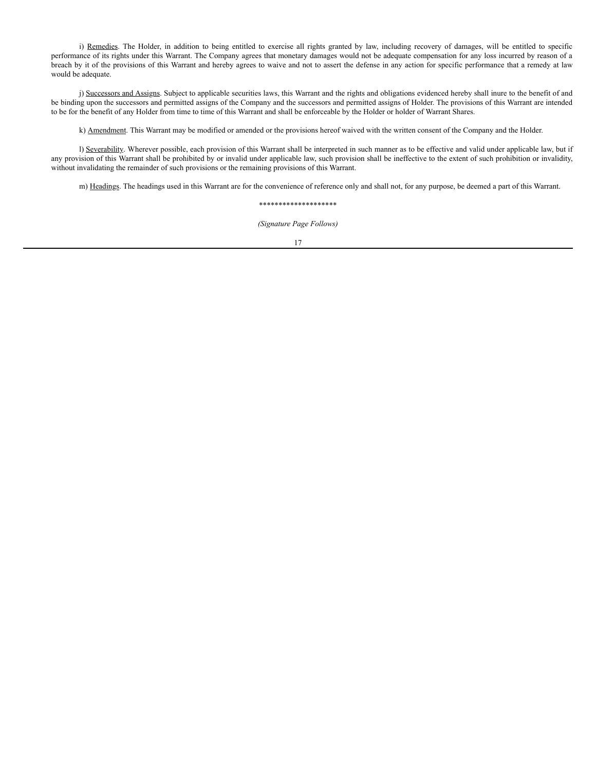i) Remedies. The Holder, in addition to being entitled to exercise all rights granted by law, including recovery of damages, will be entitled to specific performance of its rights under this Warrant. The Company agrees that monetary damages would not be adequate compensation for any loss incurred by reason of a breach by it of the provisions of this Warrant and hereby agrees to waive and not to assert the defense in any action for specific performance that a remedy at law would be adequate.

j) Successors and Assigns. Subject to applicable securities laws, this Warrant and the rights and obligations evidenced hereby shall inure to the benefit of and be binding upon the successors and permitted assigns of the Company and the successors and permitted assigns of Holder. The provisions of this Warrant are intended to be for the benefit of any Holder from time to time of this Warrant and shall be enforceable by the Holder or holder of Warrant Shares.

k) Amendment. This Warrant may be modified or amended or the provisions hereof waived with the written consent of the Company and the Holder.

l) Severability. Wherever possible, each provision of this Warrant shall be interpreted in such manner as to be effective and valid under applicable law, but if any provision of this Warrant shall be prohibited by or invalid under applicable law, such provision shall be ineffective to the extent of such prohibition or invalidity, without invalidating the remainder of such provisions or the remaining provisions of this Warrant.

m) Headings. The headings used in this Warrant are for the convenience of reference only and shall not, for any purpose, be deemed a part of this Warrant.

### \*\*\*\*\*\*\*\*\*\*\*\*\*\*\*\*\*\*\*\*

*(Signature Page Follows)*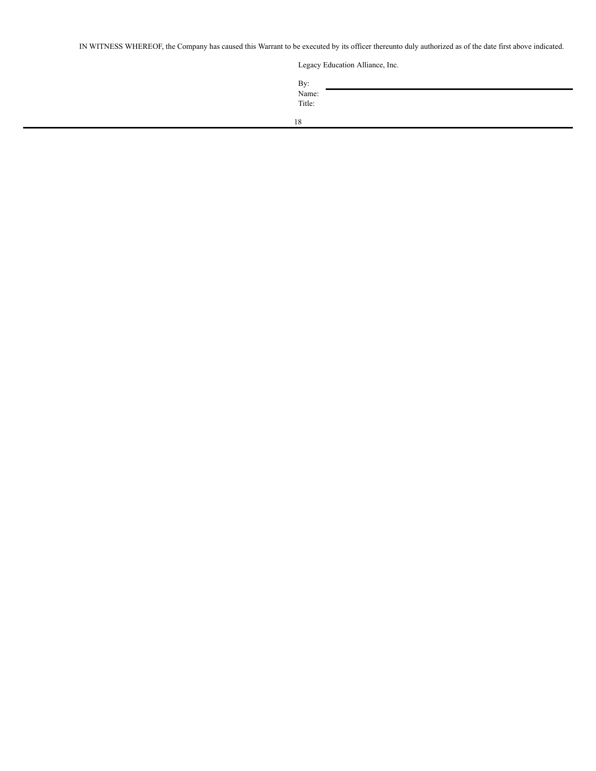IN WITNESS WHEREOF, the Company has caused this Warrant to be executed by its officer thereunto duly authorized as of the date first above indicated.

Legacy Education Alliance, Inc.

| By:            |  |  |  |
|----------------|--|--|--|
| Name:          |  |  |  |
| Title:         |  |  |  |
|                |  |  |  |
| 1 <sup>o</sup> |  |  |  |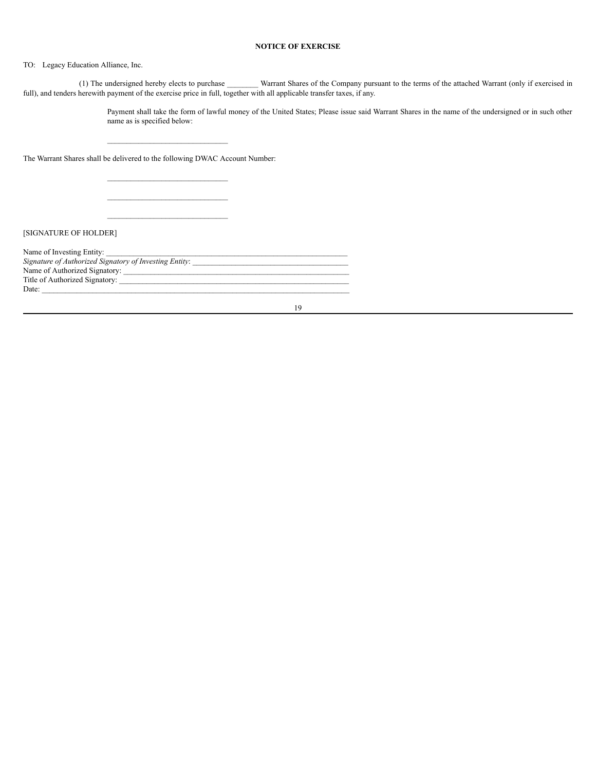# **NOTICE OF EXERCISE**

# TO: Legacy Education Alliance, Inc.

(1) The undersigned hereby elects to purchase \_\_\_\_\_\_\_\_ Warrant Shares of the Company pursuant to the terms of the attached Warrant (only if exercised in full), and tenders herewith payment of the exercise price in full, together with all applicable transfer taxes, if any.

19

Payment shall take the form of lawful money of the United States; Please issue said Warrant Shares in the name of the undersigned or in such other name as is specified below:

The Warrant Shares shall be delivered to the following DWAC Account Number:

\_\_\_\_\_\_\_\_\_\_\_\_\_\_\_\_\_\_\_\_\_\_\_\_\_\_\_\_\_\_\_

\_\_\_\_\_\_\_\_\_\_\_\_\_\_\_\_\_\_\_\_\_\_\_\_\_\_\_\_\_\_\_  $\mathcal{L}_\text{max}$ \_\_\_\_\_\_\_\_\_\_\_\_\_\_\_\_\_\_\_\_\_\_\_\_\_\_\_\_\_\_\_

[SIGNATURE OF HOLDER]

| Name of Investing Entity:                              |  |
|--------------------------------------------------------|--|
| Signature of Authorized Signatory of Investing Entity: |  |
|                                                        |  |
| Title of Authorized Signatory:                         |  |
| Date:                                                  |  |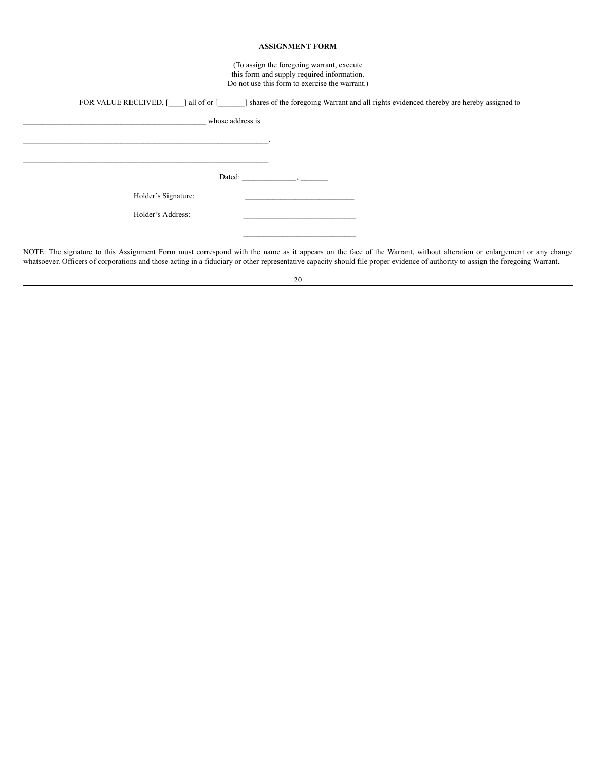## **ASSIGNMENT FORM**

(To assign the foregoing warrant, execute this form and supply required information. Do not use this form to exercise the warrant.)

|                               | FOR VALUE RECEIVED, [10] all of or [10] shares of the foregoing Warrant and all rights evidenced thereby are hereby assigned to |
|-------------------------------|---------------------------------------------------------------------------------------------------------------------------------|
| whose address is              |                                                                                                                                 |
|                               |                                                                                                                                 |
|                               |                                                                                                                                 |
| Dated:<br>Holder's Signature: |                                                                                                                                 |
| Holder's Address:             |                                                                                                                                 |
|                               |                                                                                                                                 |

NOTE: The signature to this Assignment Form must correspond with the name as it appears on the face of the Warrant, without alteration or enlargement or any change whatsoever. Officers of corporations and those acting in a fiduciary or other representative capacity should file proper evidence of authority to assign the foregoing Warrant.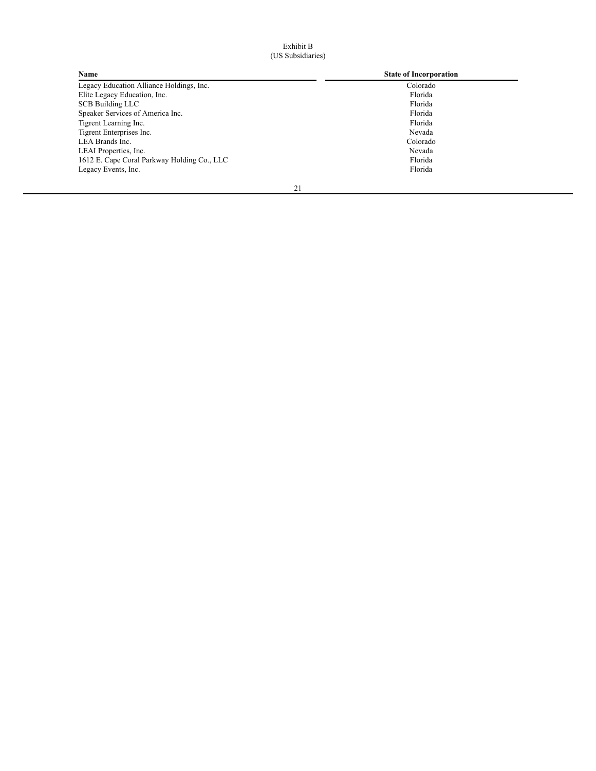# Exhibit B (US Subsidiaries)

| <b>Name</b>                                 | <b>State of Incorporation</b> |
|---------------------------------------------|-------------------------------|
| Legacy Education Alliance Holdings, Inc.    | Colorado                      |
| Elite Legacy Education, Inc.                | Florida                       |
| <b>SCB Building LLC</b>                     | Florida                       |
| Speaker Services of America Inc.            | Florida                       |
| Tigrent Learning Inc.                       | Florida                       |
| Tigrent Enterprises Inc.                    | Nevada                        |
| LEA Brands Inc.                             | Colorado                      |
| LEAI Properties, Inc.                       | Nevada                        |
| 1612 E. Cape Coral Parkway Holding Co., LLC | Florida                       |
| Legacy Events, Inc.                         | Florida                       |
|                                             |                               |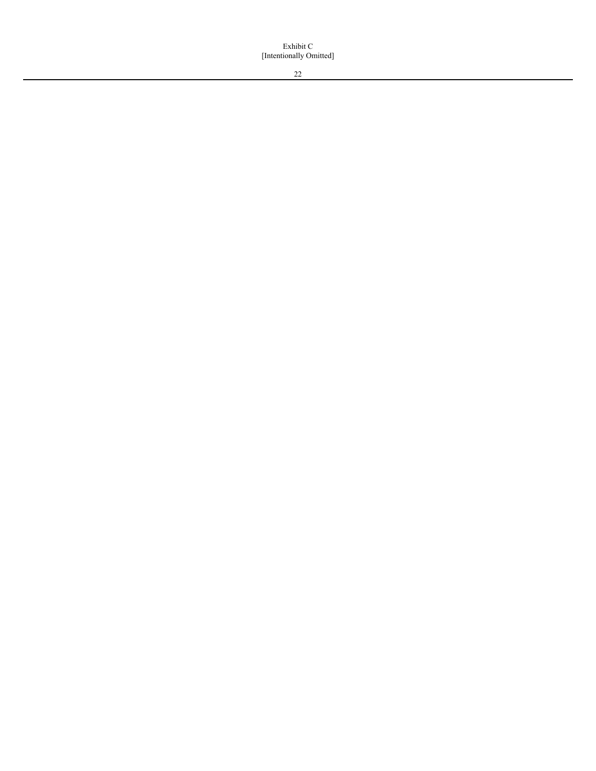Exhibit C [Intentionally Omitted]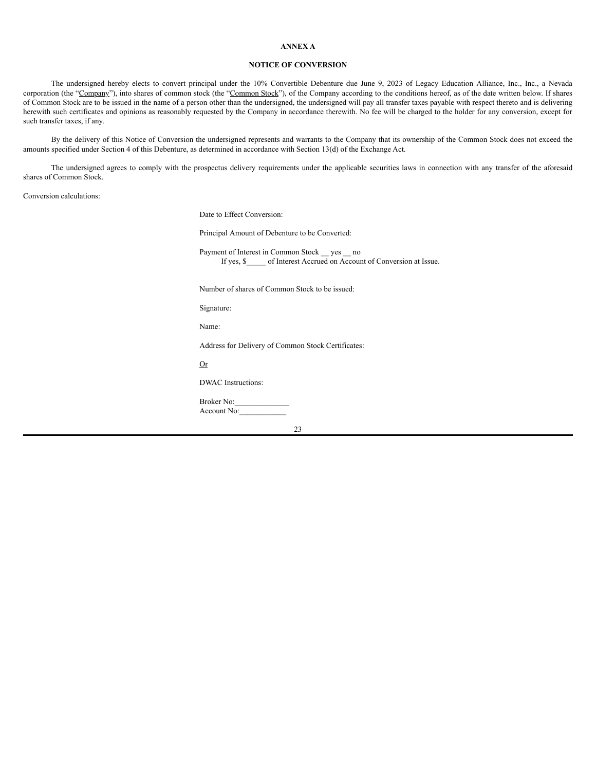### **ANNEX A**

# **NOTICE OF CONVERSION**

The undersigned hereby elects to convert principal under the 10% Convertible Debenture due June 9, 2023 of Legacy Education Alliance, Inc., Inc., a Nevada corporation (the "Company"), into shares of common stock (the "Common Stock"), of the Company according to the conditions hereof, as of the date written below. If shares of Common Stock are to be issued in the name of a person other than the undersigned, the undersigned will pay all transfer taxes payable with respect thereto and is delivering herewith such certificates and opinions as reasonably requested by the Company in accordance therewith. No fee will be charged to the holder for any conversion, except for such transfer taxes, if any.

By the delivery of this Notice of Conversion the undersigned represents and warrants to the Company that its ownership of the Common Stock does not exceed the amounts specified under Section 4 of this Debenture, as determined in accordance with Section 13(d) of the Exchange Act.

The undersigned agrees to comply with the prospectus delivery requirements under the applicable securities laws in connection with any transfer of the aforesaid shares of Common Stock.

Conversion calculations:

Date to Effect Conversion:

Principal Amount of Debenture to be Converted:

Payment of Interest in Common Stock \_\_ yes \_\_ no If yes, \$\_\_\_\_\_ of Interest Accrued on Account of Conversion at Issue.

Number of shares of Common Stock to be issued:

Signature:

Name:

Address for Delivery of Common Stock Certificates:

Or

DWAC Instructions:

Broker No: Account No: